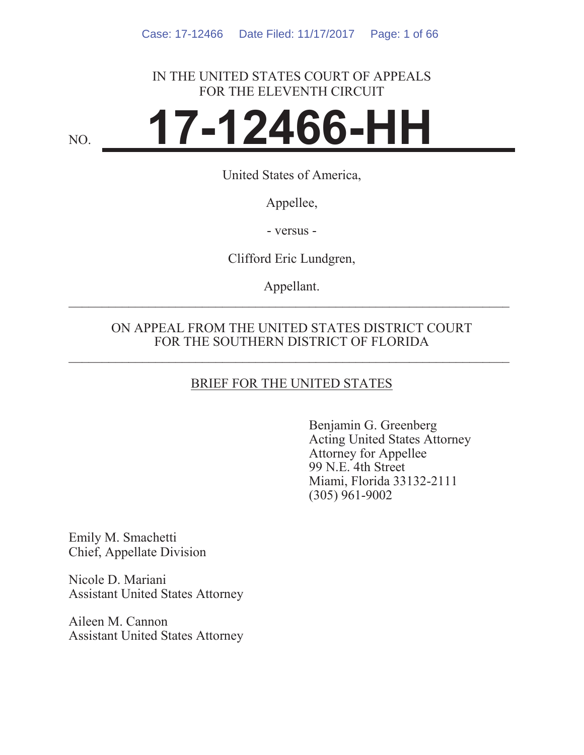## IN THE UNITED STATES COURT OF APPEALS FOR THE ELEVENTH CIRCUIT

# NO. **17-12466-HH**

United States of America,

Appellee,

- versus -

Clifford Eric Lundgren,

Appellant.  $\mathcal{L}_\text{max}$  and  $\mathcal{L}_\text{max}$  and  $\mathcal{L}_\text{max}$  and  $\mathcal{L}_\text{max}$  and  $\mathcal{L}_\text{max}$  and  $\mathcal{L}_\text{max}$ 

## ON APPEAL FROM THE UNITED STATES DISTRICT COURT FOR THE SOUTHERN DISTRICT OF FLORIDA

## BRIEF FOR THE UNITED STATES

Benjamin G. Greenberg Acting United States Attorney Attorney for Appellee 99 N.E. 4th Street Miami, Florida 33132-2111 (305) 961-9002

Emily M. Smachetti Chief, Appellate Division

Nicole D. Mariani Assistant United States Attorney

Aileen M. Cannon Assistant United States Attorney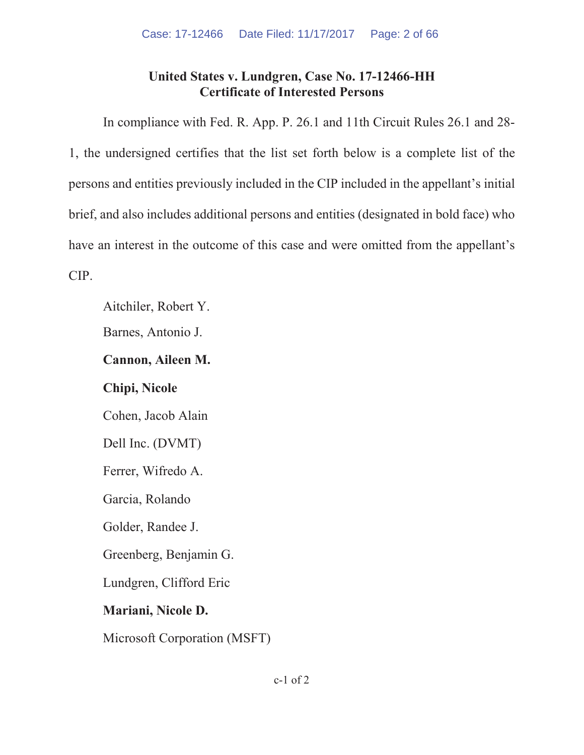## **United States v. Lundgren, Case No. 17-12466-HH Certificate of Interested Persons**

In compliance with Fed. R. App. P. 26.1 and 11th Circuit Rules 26.1 and 28- 1, the undersigned certifies that the list set forth below is a complete list of the persons and entities previously included in the CIP included in the appellant's initial brief, and also includes additional persons and entities (designated in bold face) who have an interest in the outcome of this case and were omitted from the appellant's CIP.

Aitchiler, Robert Y.

Barnes, Antonio J.

## **Cannon, Aileen M.**

## **Chipi, Nicole**

Cohen, Jacob Alain

Dell Inc. (DVMT)

Ferrer, Wifredo A.

Garcia, Rolando

Golder, Randee J.

Greenberg, Benjamin G.

Lundgren, Clifford Eric

## **Mariani, Nicole D.**

Microsoft Corporation (MSFT)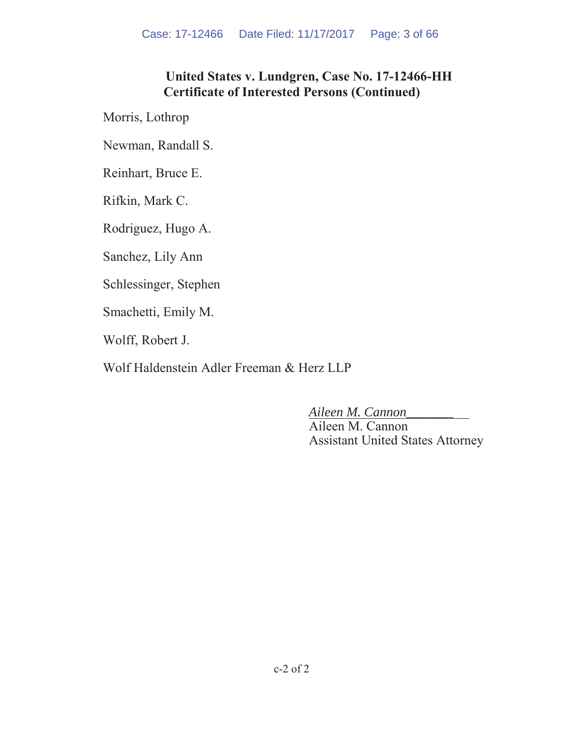## **United States v. Lundgren, Case No. 17-12466-HH Certificate of Interested Persons (Continued)**

Morris, Lothrop

Newman, Randall S.

Reinhart, Bruce E.

Rifkin, Mark C.

Rodriguez, Hugo A.

Sanchez, Lily Ann

Schlessinger, Stephen

Smachetti, Emily M.

Wolff, Robert J.

Wolf Haldenstein Adler Freeman & Herz LLP

*Aileen M. Cannon\_\_\_\_\_\_\_* 

Aileen M. Cannon Assistant United States Attorney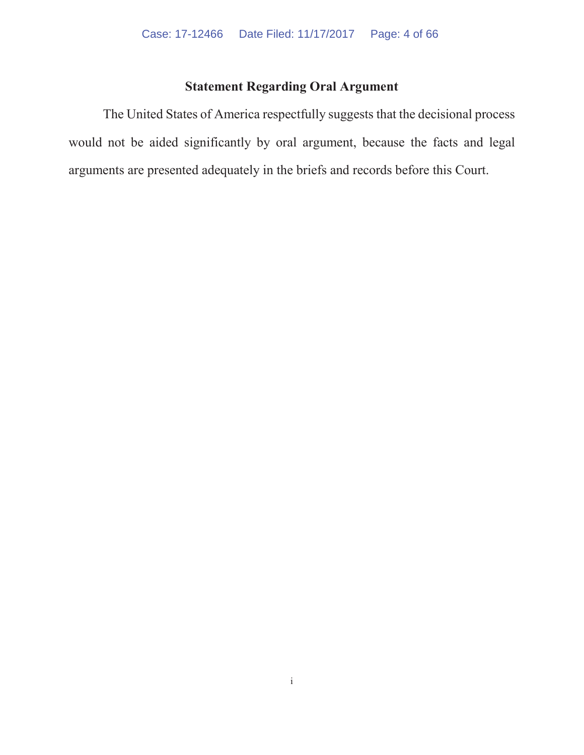## **Statement Regarding Oral Argument**

The United States of America respectfully suggests that the decisional process would not be aided significantly by oral argument, because the facts and legal arguments are presented adequately in the briefs and records before this Court.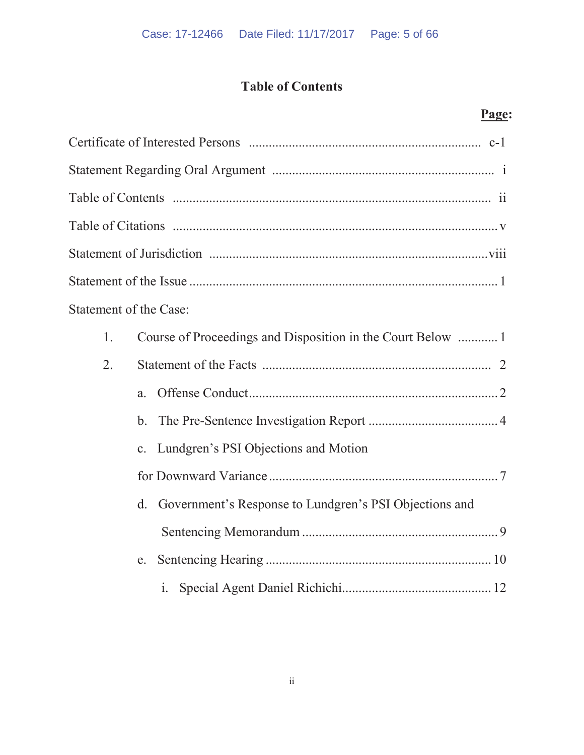# **Table of Contents**

|                               | Page:                                                        |
|-------------------------------|--------------------------------------------------------------|
|                               |                                                              |
|                               |                                                              |
|                               |                                                              |
|                               |                                                              |
|                               |                                                              |
|                               |                                                              |
| <b>Statement of the Case:</b> |                                                              |
| 1.                            |                                                              |
| 2.                            |                                                              |
|                               | a.                                                           |
|                               | $\mathbf b$ .                                                |
|                               | Lundgren's PSI Objections and Motion<br>$\mathbf{c}$ .       |
|                               |                                                              |
|                               | Government's Response to Lundgren's PSI Objections and<br>d. |
|                               |                                                              |
|                               | e.                                                           |
|                               | $\mathbf{i}$ .                                               |

ii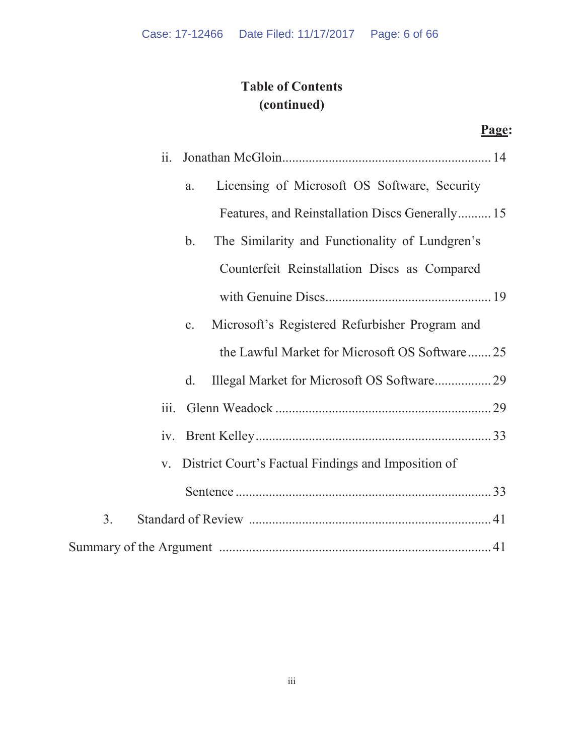# **Table of Contents (continued)**

| ii.                                                              |
|------------------------------------------------------------------|
| Licensing of Microsoft OS Software, Security<br>a.               |
| Features, and Reinstallation Discs Generally 15                  |
| The Similarity and Functionality of Lundgren's<br>$\mathbf{b}$ . |
| Counterfeit Reinstallation Discs as Compared                     |
|                                                                  |
| Microsoft's Registered Refurbisher Program and<br>c.             |
| the Lawful Market for Microsoft OS Software25                    |
| Illegal Market for Microsoft OS Software 29<br>$\rm d$ .         |
| $\overline{111}$ .                                               |
|                                                                  |
| District Court's Factual Findings and Imposition of<br>V.        |
|                                                                  |
| 3.                                                               |
|                                                                  |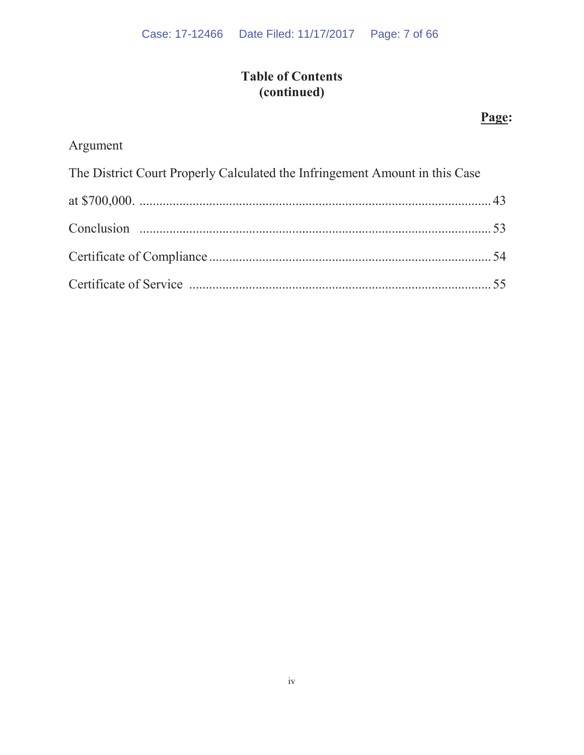# **Table of Contents (continued)**

# **Page:**

# Argument

| The District Court Properly Calculated the Infringement Amount in this Case |  |
|-----------------------------------------------------------------------------|--|
|                                                                             |  |
|                                                                             |  |
|                                                                             |  |
|                                                                             |  |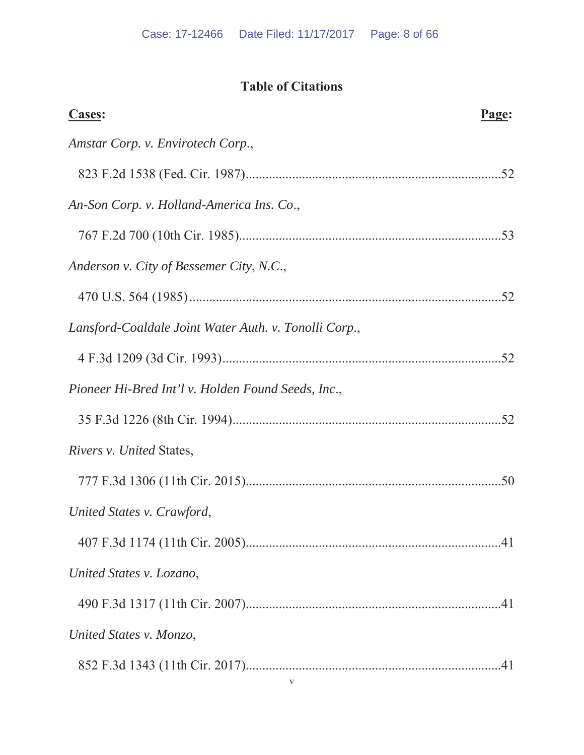# **Table of Citations**

| <b>Cases:</b>                                         | Page: |
|-------------------------------------------------------|-------|
| Amstar Corp. v. Envirotech Corp.,                     |       |
|                                                       |       |
| An-Son Corp. v. Holland-America Ins. Co.,             |       |
|                                                       |       |
| Anderson v. City of Bessemer City, N.C.,              |       |
|                                                       |       |
| Lansford-Coaldale Joint Water Auth. v. Tonolli Corp., |       |
|                                                       |       |
| Pioneer Hi-Bred Int'l v. Holden Found Seeds, Inc.,    |       |
|                                                       |       |
| Rivers v. United States,                              |       |
|                                                       |       |
| United States v. Crawford,                            |       |
|                                                       |       |
| United States v. Lozano,                              |       |
|                                                       |       |
| United States v. Monzo,                               |       |
| $\mathbf{V}$                                          |       |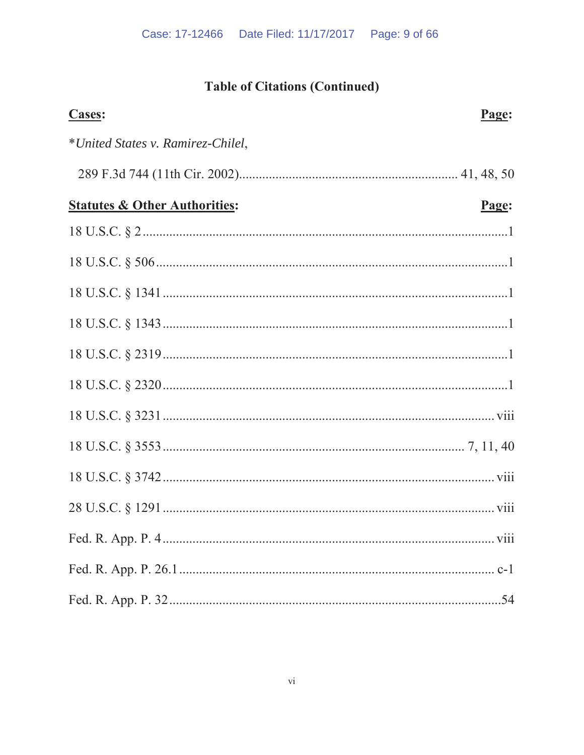# **Table of Citations (Continued)**

| <b>Cases:</b>                            | Page: |
|------------------------------------------|-------|
| *United States v. Ramirez-Chilel,        |       |
|                                          |       |
| <b>Statutes &amp; Other Authorities:</b> | Page: |
|                                          |       |
|                                          |       |
|                                          |       |
|                                          |       |
|                                          |       |
|                                          |       |
|                                          |       |
|                                          |       |
|                                          |       |
|                                          |       |
|                                          |       |
|                                          |       |
|                                          |       |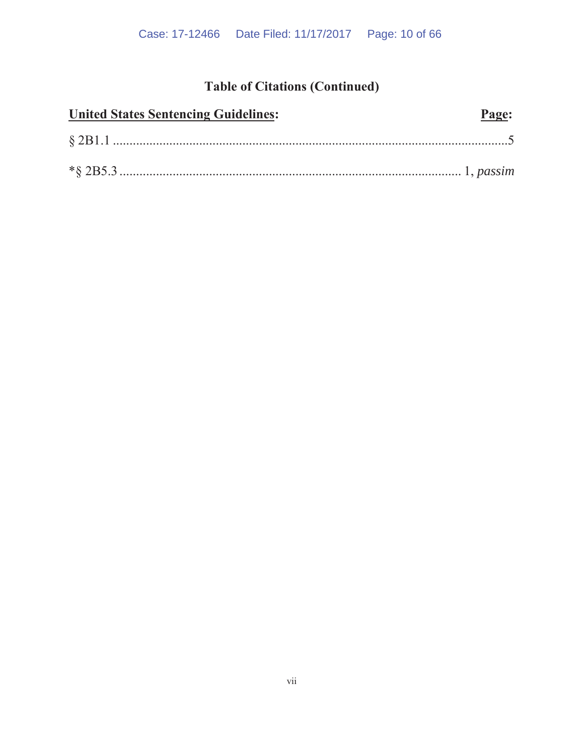# **Table of Citations (Continued)**

| <b>United States Sentencing Guidelines:</b> | Page: |
|---------------------------------------------|-------|
|                                             |       |
|                                             |       |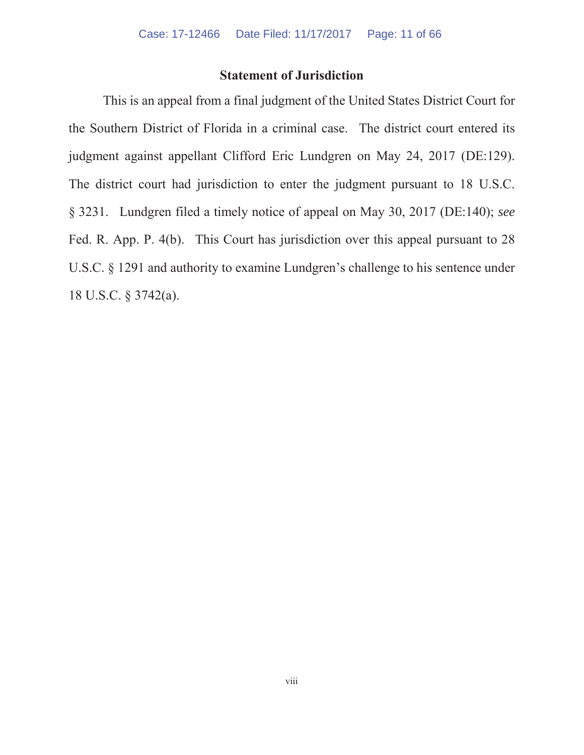## **Statement of Jurisdiction**

This is an appeal from a final judgment of the United States District Court for the Southern District of Florida in a criminal case. The district court entered its judgment against appellant Clifford Eric Lundgren on May 24, 2017 (DE:129). The district court had jurisdiction to enter the judgment pursuant to 18 U.S.C. § 3231. Lundgren filed a timely notice of appeal on May 30, 2017 (DE:140); *see* Fed. R. App. P. 4(b). This Court has jurisdiction over this appeal pursuant to 28 U.S.C. § 1291 and authority to examine Lundgren's challenge to his sentence under 18 U.S.C. § 3742(a).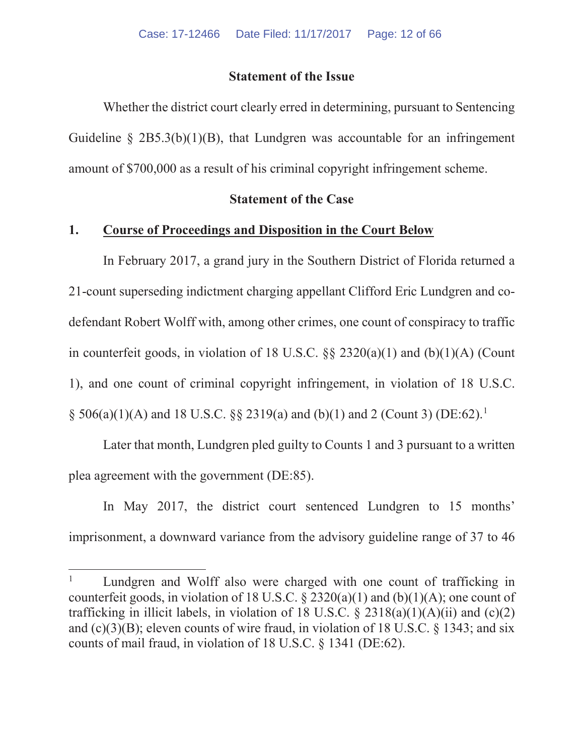## **Statement of the Issue**

Whether the district court clearly erred in determining, pursuant to Sentencing Guideline  $\S 2B5.3(b)(1)(B)$ , that Lundgren was accountable for an infringement amount of \$700,000 as a result of his criminal copyright infringement scheme.

## **Statement of the Case**

#### **1. Course of Proceedings and Disposition in the Court Below**

In February 2017, a grand jury in the Southern District of Florida returned a 21-count superseding indictment charging appellant Clifford Eric Lundgren and codefendant Robert Wolff with, among other crimes, one count of conspiracy to traffic in counterfeit goods, in violation of 18 U.S.C. §§ 2320(a)(1) and (b)(1)(A) (Count 1), and one count of criminal copyright infringement, in violation of 18 U.S.C.  $\S$  506(a)(1)(A) and 18 U.S.C.  $\S$  2319(a) and (b)(1) and 2 (Count 3) (DE:62).<sup>1</sup>

Later that month, Lundgren pled guilty to Counts 1 and 3 pursuant to a written plea agreement with the government (DE:85).

In May 2017, the district court sentenced Lundgren to 15 months' imprisonment, a downward variance from the advisory guideline range of 37 to 46

Lundgren and Wolff also were charged with one count of trafficking in counterfeit goods, in violation of 18 U.S.C.  $\S$  2320(a)(1) and (b)(1)(A); one count of trafficking in illicit labels, in violation of 18 U.S.C.  $\S 2318(a)(1)(A)(ii)$  and (c)(2) and  $(c)(3)(B)$ ; eleven counts of wire fraud, in violation of 18 U.S.C. § 1343; and six counts of mail fraud, in violation of 18 U.S.C. § 1341 (DE:62).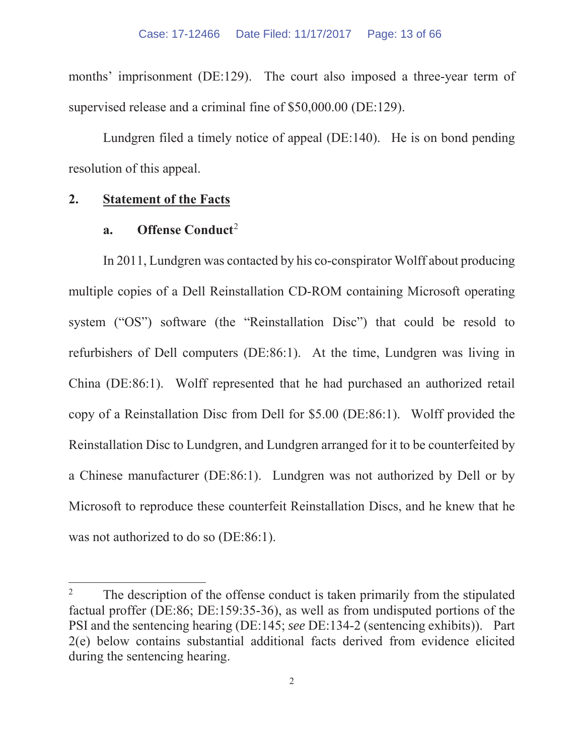months' imprisonment (DE:129). The court also imposed a three-year term of supervised release and a criminal fine of \$50,000.00 (DE:129).

Lundgren filed a timely notice of appeal (DE:140). He is on bond pending resolution of this appeal.

## **2. Statement of the Facts**

#### **a.** Offense Conduct<sup>2</sup>

In 2011, Lundgren was contacted by his co-conspirator Wolff about producing multiple copies of a Dell Reinstallation CD-ROM containing Microsoft operating system ("OS") software (the "Reinstallation Disc") that could be resold to refurbishers of Dell computers (DE:86:1). At the time, Lundgren was living in China (DE:86:1). Wolff represented that he had purchased an authorized retail copy of a Reinstallation Disc from Dell for \$5.00 (DE:86:1). Wolff provided the Reinstallation Disc to Lundgren, and Lundgren arranged for it to be counterfeited by a Chinese manufacturer (DE:86:1). Lundgren was not authorized by Dell or by Microsoft to reproduce these counterfeit Reinstallation Discs, and he knew that he was not authorized to do so (DE:86:1).

<sup>&</sup>lt;sup>2</sup> The description of the offense conduct is taken primarily from the stipulated factual proffer (DE:86; DE:159:35-36), as well as from undisputed portions of the PSI and the sentencing hearing (DE:145; *see* DE:134-2 (sentencing exhibits)). Part 2(e) below contains substantial additional facts derived from evidence elicited during the sentencing hearing.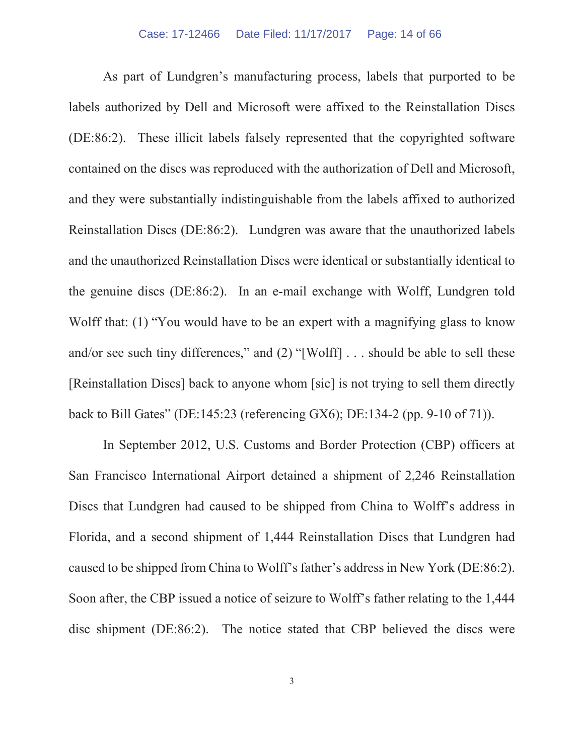As part of Lundgren's manufacturing process, labels that purported to be labels authorized by Dell and Microsoft were affixed to the Reinstallation Discs (DE:86:2). These illicit labels falsely represented that the copyrighted software contained on the discs was reproduced with the authorization of Dell and Microsoft, and they were substantially indistinguishable from the labels affixed to authorized Reinstallation Discs (DE:86:2). Lundgren was aware that the unauthorized labels and the unauthorized Reinstallation Discs were identical or substantially identical to the genuine discs (DE:86:2). In an e-mail exchange with Wolff, Lundgren told Wolff that: (1) "You would have to be an expert with a magnifying glass to know and/or see such tiny differences," and (2) "[Wolff] . . . should be able to sell these [Reinstallation Discs] back to anyone whom [sic] is not trying to sell them directly back to Bill Gates" (DE:145:23 (referencing GX6); DE:134-2 (pp. 9-10 of 71)).

In September 2012, U.S. Customs and Border Protection (CBP) officers at San Francisco International Airport detained a shipment of 2,246 Reinstallation Discs that Lundgren had caused to be shipped from China to Wolff's address in Florida, and a second shipment of 1,444 Reinstallation Discs that Lundgren had caused to be shipped from China to Wolff's father's address in New York (DE:86:2). Soon after, the CBP issued a notice of seizure to Wolff's father relating to the 1,444 disc shipment (DE:86:2). The notice stated that CBP believed the discs were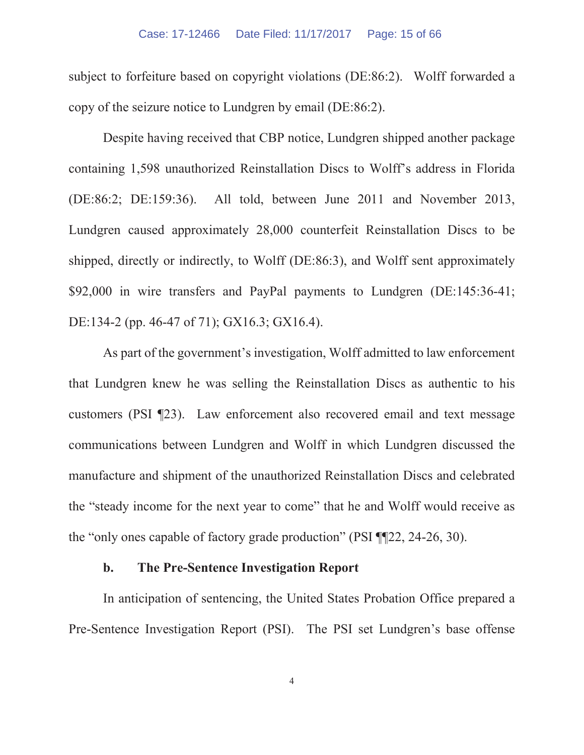#### Case: 17-12466 Date Filed: 11/17/2017 Page: 15 of 66

subject to forfeiture based on copyright violations (DE:86:2). Wolff forwarded a copy of the seizure notice to Lundgren by email (DE:86:2).

Despite having received that CBP notice, Lundgren shipped another package containing 1,598 unauthorized Reinstallation Discs to Wolff's address in Florida (DE:86:2; DE:159:36). All told, between June 2011 and November 2013, Lundgren caused approximately 28,000 counterfeit Reinstallation Discs to be shipped, directly or indirectly, to Wolff (DE:86:3), and Wolff sent approximately \$92,000 in wire transfers and PayPal payments to Lundgren (DE:145:36-41; DE:134-2 (pp. 46-47 of 71); GX16.3; GX16.4).

As part of the government's investigation, Wolff admitted to law enforcement that Lundgren knew he was selling the Reinstallation Discs as authentic to his customers (PSI ¶23). Law enforcement also recovered email and text message communications between Lundgren and Wolff in which Lundgren discussed the manufacture and shipment of the unauthorized Reinstallation Discs and celebrated the "steady income for the next year to come" that he and Wolff would receive as the "only ones capable of factory grade production" (PSI ¶¶22, 24-26, 30).

## **b. The Pre-Sentence Investigation Report**

In anticipation of sentencing, the United States Probation Office prepared a Pre-Sentence Investigation Report (PSI). The PSI set Lundgren's base offense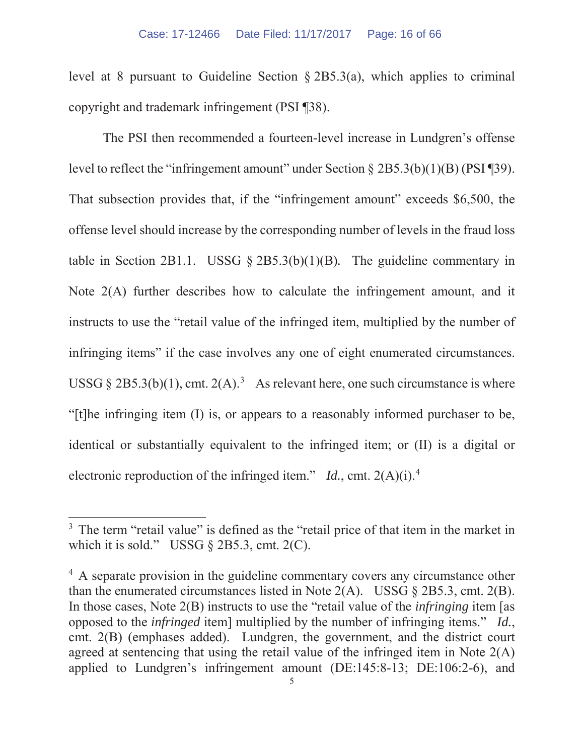level at 8 pursuant to Guideline Section  $\S 2B5.3(a)$ , which applies to criminal copyright and trademark infringement (PSI ¶38).

The PSI then recommended a fourteen-level increase in Lundgren's offense level to reflect the "infringement amount" under Section § 2B5.3(b)(1)(B) (PSI ¶39). That subsection provides that, if the "infringement amount" exceeds \$6,500, the offense level should increase by the corresponding number of levels in the fraud loss table in Section 2B1.1. USSG § 2B5.3(b)(1)(B)*.* The guideline commentary in Note 2(A) further describes how to calculate the infringement amount, and it instructs to use the "retail value of the infringed item, multiplied by the number of infringing items" if the case involves any one of eight enumerated circumstances. USSG  $\S 2B5.3(b)(1)$ , cmt.  $2(A)$ .<sup>3</sup> As relevant here, one such circumstance is where "[t]he infringing item (I) is, or appears to a reasonably informed purchaser to be, identical or substantially equivalent to the infringed item; or (II) is a digital or electronic reproduction of the infringed item." *Id.*, cmt. 2(A)(i).4

<sup>&</sup>lt;sup>3</sup> The term "retail value" is defined as the "retail price of that item in the market in which it is sold." USSG  $\S$  2B5.3, cmt. 2(C).

<sup>&</sup>lt;sup>4</sup> A separate provision in the guideline commentary covers any circumstance other than the enumerated circumstances listed in Note  $2(A)$ . USSG  $\S$  2B5.3, cmt. 2(B). In those cases, Note 2(B) instructs to use the "retail value of the *infringing* item [as opposed to the *infringed* item] multiplied by the number of infringing items." *Id.*, cmt. 2(B) (emphases added). Lundgren, the government, and the district court agreed at sentencing that using the retail value of the infringed item in Note 2(A) applied to Lundgren's infringement amount (DE:145:8-13; DE:106:2-6), and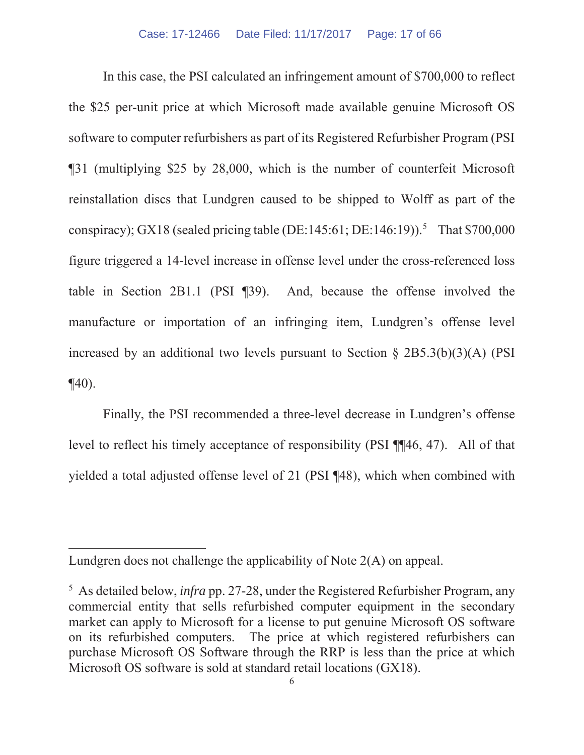In this case, the PSI calculated an infringement amount of \$700,000 to reflect the \$25 per-unit price at which Microsoft made available genuine Microsoft OS software to computer refurbishers as part of its Registered Refurbisher Program (PSI ¶31 (multiplying \$25 by 28,000, which is the number of counterfeit Microsoft reinstallation discs that Lundgren caused to be shipped to Wolff as part of the conspiracy); GX18 (sealed pricing table (DE:145:61; DE:146:19)).<sup>5</sup> That \$700,000 figure triggered a 14-level increase in offense level under the cross-referenced loss table in Section 2B1.1 (PSI ¶39). And, because the offense involved the manufacture or importation of an infringing item, Lundgren's offense level increased by an additional two levels pursuant to Section § 2B5.3(b)(3)(A) (PSI  $\P(40)$ .

Finally, the PSI recommended a three-level decrease in Lundgren's offense level to reflect his timely acceptance of responsibility (PSI ¶¶46, 47). All of that yielded a total adjusted offense level of 21 (PSI ¶48), which when combined with

Lundgren does not challenge the applicability of Note 2(A) on appeal.

<sup>5</sup> As detailed below, *infra* pp. 27-28, under the Registered Refurbisher Program, any commercial entity that sells refurbished computer equipment in the secondary market can apply to Microsoft for a license to put genuine Microsoft OS software on its refurbished computers. The price at which registered refurbishers can purchase Microsoft OS Software through the RRP is less than the price at which Microsoft OS software is sold at standard retail locations (GX18).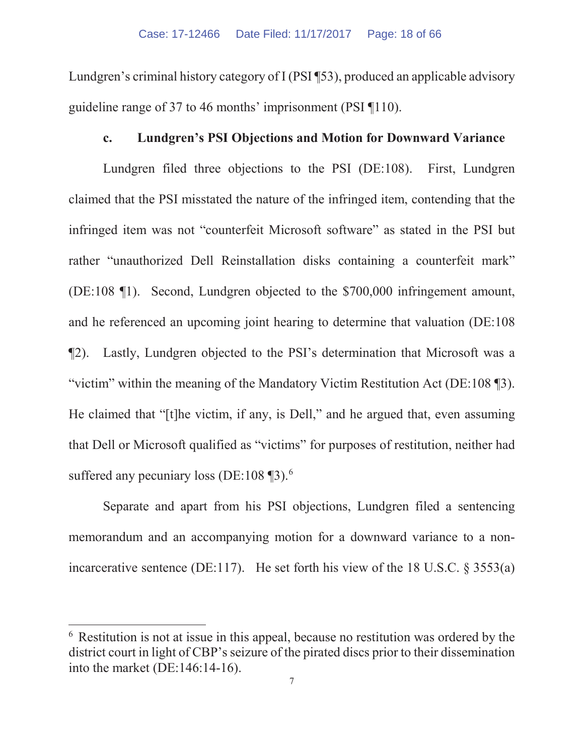Lundgren's criminal history category of I (PSI ¶53), produced an applicable advisory guideline range of 37 to 46 months' imprisonment (PSI ¶110).

## **c. Lundgren's PSI Objections and Motion for Downward Variance**

Lundgren filed three objections to the PSI (DE:108). First, Lundgren claimed that the PSI misstated the nature of the infringed item, contending that the infringed item was not "counterfeit Microsoft software" as stated in the PSI but rather "unauthorized Dell Reinstallation disks containing a counterfeit mark" (DE:108 ¶1). Second, Lundgren objected to the \$700,000 infringement amount, and he referenced an upcoming joint hearing to determine that valuation (DE:108 ¶2). Lastly, Lundgren objected to the PSI's determination that Microsoft was a "victim" within the meaning of the Mandatory Victim Restitution Act (DE:108 ¶3). He claimed that "[t]he victim, if any, is Dell," and he argued that, even assuming that Dell or Microsoft qualified as "victims" for purposes of restitution, neither had suffered any pecuniary loss (DE:108  $\P$ 3).<sup>6</sup>

Separate and apart from his PSI objections, Lundgren filed a sentencing memorandum and an accompanying motion for a downward variance to a nonincarcerative sentence (DE:117). He set forth his view of the 18 U.S.C.  $\S 3553(a)$ 

<sup>6</sup> Restitution is not at issue in this appeal, because no restitution was ordered by the district court in light of CBP's seizure of the pirated discs prior to their dissemination into the market (DE:146:14-16).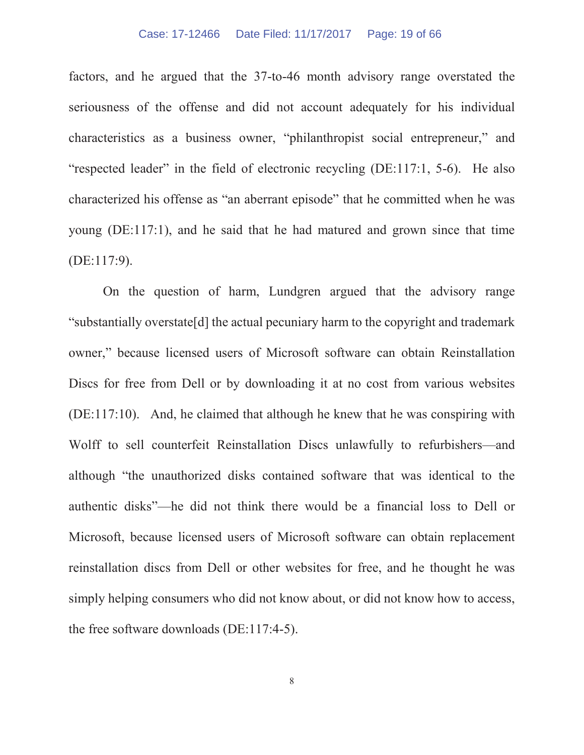factors, and he argued that the 37-to-46 month advisory range overstated the seriousness of the offense and did not account adequately for his individual characteristics as a business owner, "philanthropist social entrepreneur," and "respected leader" in the field of electronic recycling (DE:117:1, 5-6). He also characterized his offense as "an aberrant episode" that he committed when he was young (DE:117:1), and he said that he had matured and grown since that time (DE:117:9).

On the question of harm, Lundgren argued that the advisory range "substantially overstate[d] the actual pecuniary harm to the copyright and trademark owner," because licensed users of Microsoft software can obtain Reinstallation Discs for free from Dell or by downloading it at no cost from various websites (DE:117:10). And, he claimed that although he knew that he was conspiring with Wolff to sell counterfeit Reinstallation Discs unlawfully to refurbishers—and although "the unauthorized disks contained software that was identical to the authentic disks"—he did not think there would be a financial loss to Dell or Microsoft, because licensed users of Microsoft software can obtain replacement reinstallation discs from Dell or other websites for free, and he thought he was simply helping consumers who did not know about, or did not know how to access, the free software downloads (DE:117:4-5).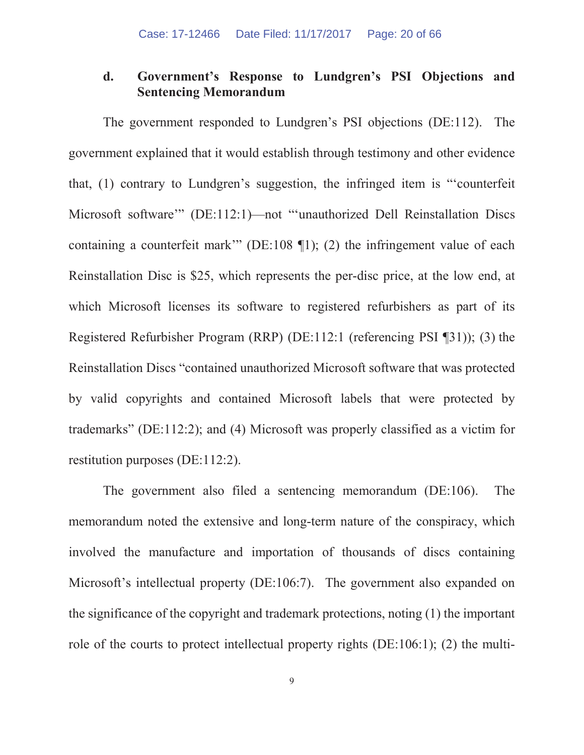## **d. Government's Response to Lundgren's PSI Objections and Sentencing Memorandum**

The government responded to Lundgren's PSI objections (DE:112). The government explained that it would establish through testimony and other evidence that, (1) contrary to Lundgren's suggestion, the infringed item is "'counterfeit Microsoft software'" (DE:112:1)—not "'unauthorized Dell Reinstallation Discs containing a counterfeit mark'" (DE:108 ¶1); (2) the infringement value of each Reinstallation Disc is \$25, which represents the per-disc price, at the low end, at which Microsoft licenses its software to registered refurbishers as part of its Registered Refurbisher Program (RRP) (DE:112:1 (referencing PSI ¶31)); (3) the Reinstallation Discs "contained unauthorized Microsoft software that was protected by valid copyrights and contained Microsoft labels that were protected by trademarks" (DE:112:2); and (4) Microsoft was properly classified as a victim for restitution purposes (DE:112:2).

The government also filed a sentencing memorandum (DE:106). The memorandum noted the extensive and long-term nature of the conspiracy, which involved the manufacture and importation of thousands of discs containing Microsoft's intellectual property (DE:106:7). The government also expanded on the significance of the copyright and trademark protections, noting (1) the important role of the courts to protect intellectual property rights (DE:106:1); (2) the multi-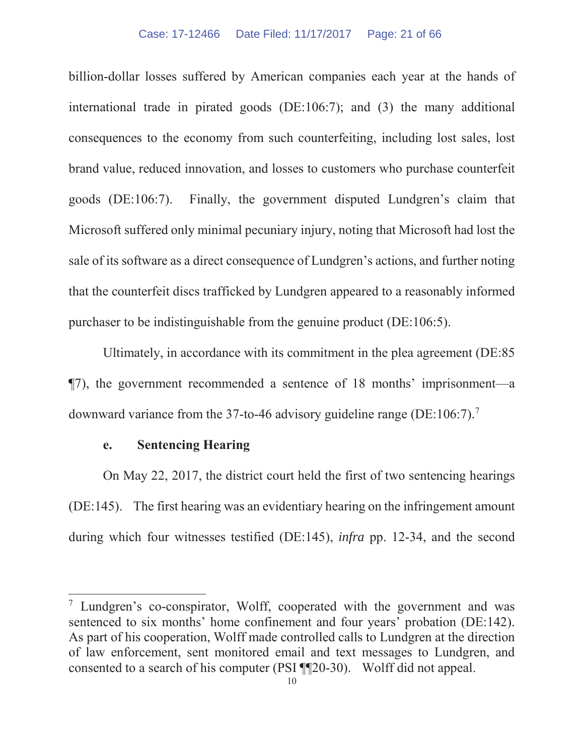#### Case: 17-12466 Date Filed: 11/17/2017 Page: 21 of 66

billion-dollar losses suffered by American companies each year at the hands of international trade in pirated goods (DE:106:7); and (3) the many additional consequences to the economy from such counterfeiting, including lost sales, lost brand value, reduced innovation, and losses to customers who purchase counterfeit goods (DE:106:7). Finally, the government disputed Lundgren's claim that Microsoft suffered only minimal pecuniary injury, noting that Microsoft had lost the sale of its software as a direct consequence of Lundgren's actions, and further noting that the counterfeit discs trafficked by Lundgren appeared to a reasonably informed purchaser to be indistinguishable from the genuine product (DE:106:5).

Ultimately, in accordance with its commitment in the plea agreement (DE:85 ¶7), the government recommended a sentence of 18 months' imprisonment—a downward variance from the 37-to-46 advisory guideline range (DE:106:7).7

## **e. Sentencing Hearing**

On May 22, 2017, the district court held the first of two sentencing hearings (DE:145). The first hearing was an evidentiary hearing on the infringement amount during which four witnesses testified (DE:145), *infra* pp. 12-34, and the second

<sup>7</sup> Lundgren's co-conspirator, Wolff, cooperated with the government and was sentenced to six months' home confinement and four years' probation (DE:142). As part of his cooperation, Wolff made controlled calls to Lundgren at the direction of law enforcement, sent monitored email and text messages to Lundgren, and consented to a search of his computer (PSI ¶¶20-30). Wolff did not appeal.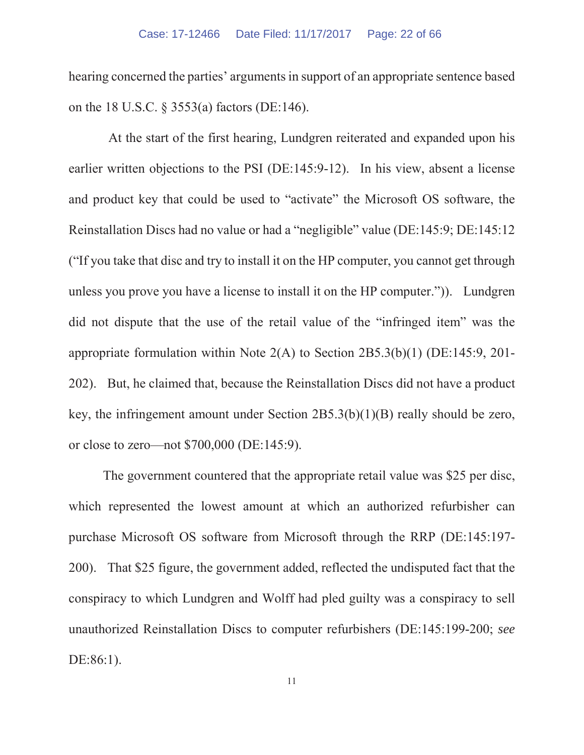hearing concerned the parties' arguments in support of an appropriate sentence based on the 18 U.S.C. § 3553(a) factors (DE:146).

At the start of the first hearing, Lundgren reiterated and expanded upon his earlier written objections to the PSI (DE:145:9-12). In his view, absent a license and product key that could be used to "activate" the Microsoft OS software, the Reinstallation Discs had no value or had a "negligible" value (DE:145:9; DE:145:12 ("If you take that disc and try to install it on the HP computer, you cannot get through unless you prove you have a license to install it on the HP computer.")). Lundgren did not dispute that the use of the retail value of the "infringed item" was the appropriate formulation within Note 2(A) to Section 2B5.3(b)(1) (DE:145:9, 201- 202). But, he claimed that, because the Reinstallation Discs did not have a product key, the infringement amount under Section 2B5.3(b)(1)(B) really should be zero, or close to zero—not \$700,000 (DE:145:9).

The government countered that the appropriate retail value was \$25 per disc, which represented the lowest amount at which an authorized refurbisher can purchase Microsoft OS software from Microsoft through the RRP (DE:145:197- 200). That \$25 figure, the government added, reflected the undisputed fact that the conspiracy to which Lundgren and Wolff had pled guilty was a conspiracy to sell unauthorized Reinstallation Discs to computer refurbishers (DE:145:199-200; *see*  DE:86:1).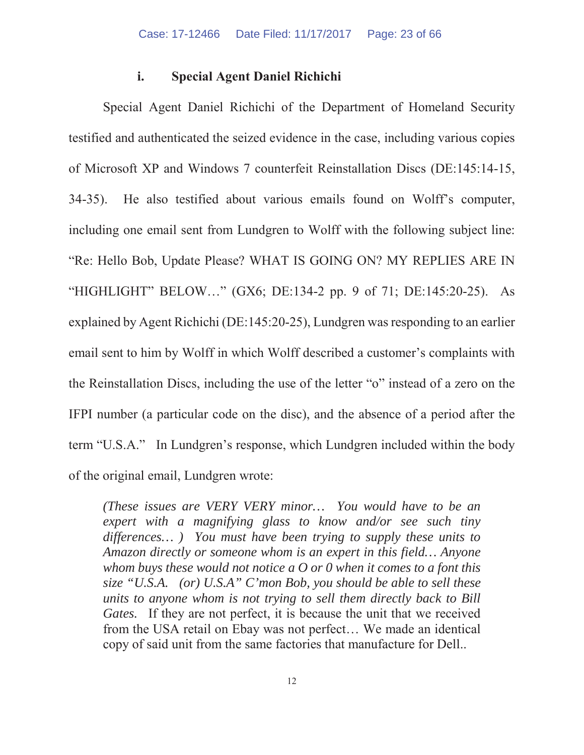#### **i. Special Agent Daniel Richichi**

Special Agent Daniel Richichi of the Department of Homeland Security testified and authenticated the seized evidence in the case, including various copies of Microsoft XP and Windows 7 counterfeit Reinstallation Discs (DE:145:14-15, 34-35). He also testified about various emails found on Wolff's computer, including one email sent from Lundgren to Wolff with the following subject line: "Re: Hello Bob, Update Please? WHAT IS GOING ON? MY REPLIES ARE IN "HIGHLIGHT" BELOW…" (GX6; DE:134-2 pp. 9 of 71; DE:145:20-25). As explained by Agent Richichi (DE:145:20-25), Lundgren was responding to an earlier email sent to him by Wolff in which Wolff described a customer's complaints with the Reinstallation Discs, including the use of the letter "o" instead of a zero on the IFPI number (a particular code on the disc), and the absence of a period after the term "U.S.A." In Lundgren's response, which Lundgren included within the body of the original email, Lundgren wrote:

*(These issues are VERY VERY minor… You would have to be an expert with a magnifying glass to know and/or see such tiny differences… ) You must have been trying to supply these units to Amazon directly or someone whom is an expert in this field… Anyone whom buys these would not notice a O or 0 when it comes to a font this size "U.S.A. (or) U.S.A" C'mon Bob, you should be able to sell these units to anyone whom is not trying to sell them directly back to Bill Gates.* If they are not perfect, it is because the unit that we received from the USA retail on Ebay was not perfect… We made an identical copy of said unit from the same factories that manufacture for Dell..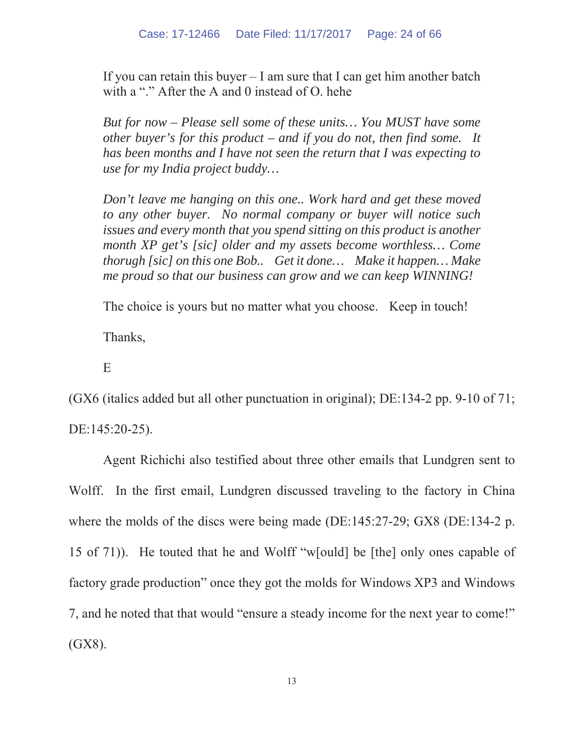If you can retain this buyer  $- I$  am sure that I can get him another batch with a "." After the A and 0 instead of O, hehe

*But for now – Please sell some of these units… You MUST have some other buyer's for this product – and if you do not, then find some. It has been months and I have not seen the return that I was expecting to use for my India project buddy…*

*Don't leave me hanging on this one.. Work hard and get these moved to any other buyer. No normal company or buyer will notice such issues and every month that you spend sitting on this product is another month XP get's [sic] older and my assets become worthless… Come thorugh [sic] on this one Bob.. Get it done… Make it happen… Make me proud so that our business can grow and we can keep WINNING!* 

The choice is yours but no matter what you choose. Keep in touch!

Thanks,

E

(GX6 (italics added but all other punctuation in original); DE:134-2 pp. 9-10 of 71; DE:145:20-25).

Agent Richichi also testified about three other emails that Lundgren sent to Wolff. In the first email, Lundgren discussed traveling to the factory in China where the molds of the discs were being made (DE:145:27-29; GX8 (DE:134-2 p. 15 of 71)). He touted that he and Wolff "w[ould] be [the] only ones capable of factory grade production" once they got the molds for Windows XP3 and Windows 7, and he noted that that would "ensure a steady income for the next year to come!" (GX8).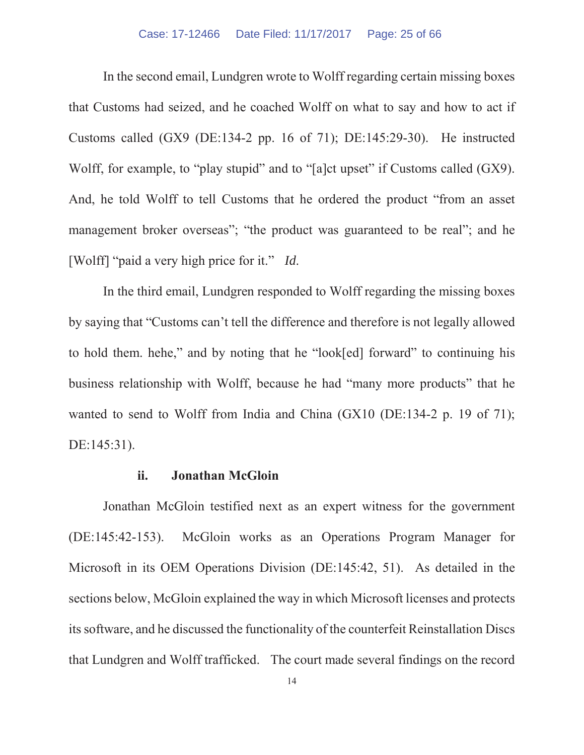In the second email, Lundgren wrote to Wolff regarding certain missing boxes that Customs had seized, and he coached Wolff on what to say and how to act if Customs called (GX9 (DE:134-2 pp. 16 of 71); DE:145:29-30). He instructed Wolff, for example, to "play stupid" and to "[a]ct upset" if Customs called (GX9). And, he told Wolff to tell Customs that he ordered the product "from an asset management broker overseas"; "the product was guaranteed to be real"; and he [Wolff] "paid a very high price for it." *Id*.

In the third email, Lundgren responded to Wolff regarding the missing boxes by saying that "Customs can't tell the difference and therefore is not legally allowed to hold them. hehe," and by noting that he "look[ed] forward" to continuing his business relationship with Wolff, because he had "many more products" that he wanted to send to Wolff from India and China (GX10 (DE:134-2 p. 19 of 71); DE:145:31).

#### **ii. Jonathan McGloin**

Jonathan McGloin testified next as an expert witness for the government (DE:145:42-153). McGloin works as an Operations Program Manager for Microsoft in its OEM Operations Division (DE:145:42, 51). As detailed in the sections below, McGloin explained the way in which Microsoft licenses and protects its software, and he discussed the functionality of the counterfeit Reinstallation Discs that Lundgren and Wolff trafficked. The court made several findings on the record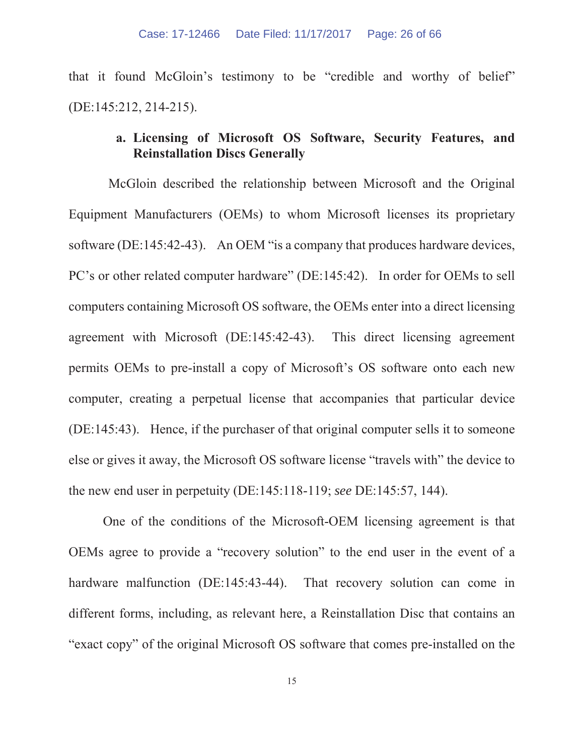that it found McGloin's testimony to be "credible and worthy of belief" (DE:145:212, 214-215).

## **a. Licensing of Microsoft OS Software, Security Features, and Reinstallation Discs Generally**

McGloin described the relationship between Microsoft and the Original Equipment Manufacturers (OEMs) to whom Microsoft licenses its proprietary software (DE:145:42-43). An OEM "is a company that produces hardware devices, PC's or other related computer hardware" (DE:145:42). In order for OEMs to sell computers containing Microsoft OS software, the OEMs enter into a direct licensing agreement with Microsoft (DE:145:42-43). This direct licensing agreement permits OEMs to pre-install a copy of Microsoft's OS software onto each new computer, creating a perpetual license that accompanies that particular device (DE:145:43). Hence, if the purchaser of that original computer sells it to someone else or gives it away, the Microsoft OS software license "travels with" the device to the new end user in perpetuity (DE:145:118-119; *see* DE:145:57, 144).

One of the conditions of the Microsoft-OEM licensing agreement is that OEMs agree to provide a "recovery solution" to the end user in the event of a hardware malfunction (DE:145:43-44). That recovery solution can come in different forms, including, as relevant here, a Reinstallation Disc that contains an "exact copy" of the original Microsoft OS software that comes pre-installed on the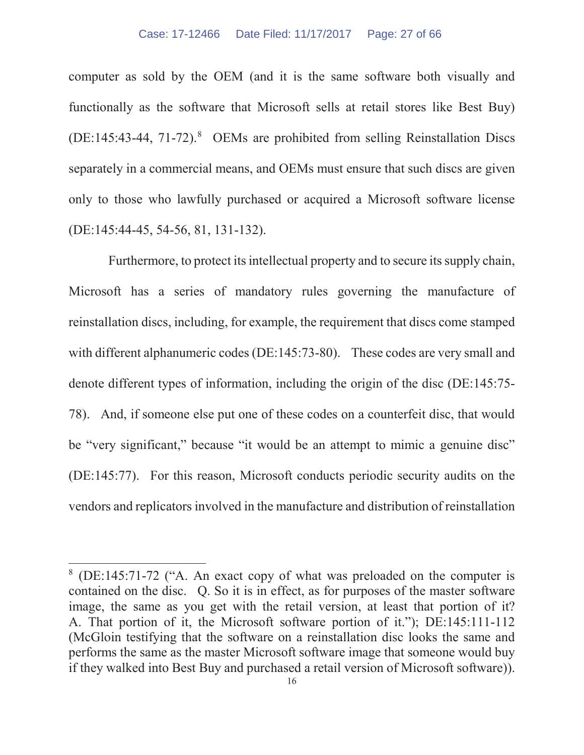computer as sold by the OEM (and it is the same software both visually and functionally as the software that Microsoft sells at retail stores like Best Buy)  $(DE:145:43-44, 71-72).$ <sup>8</sup> OEMs are prohibited from selling Reinstallation Discs separately in a commercial means, and OEMs must ensure that such discs are given only to those who lawfully purchased or acquired a Microsoft software license (DE:145:44-45, 54-56, 81, 131-132).

Furthermore, to protect its intellectual property and to secure its supply chain, Microsoft has a series of mandatory rules governing the manufacture of reinstallation discs, including, for example, the requirement that discs come stamped with different alphanumeric codes (DE:145:73-80). These codes are very small and denote different types of information, including the origin of the disc (DE:145:75- 78). And, if someone else put one of these codes on a counterfeit disc, that would be "very significant," because "it would be an attempt to mimic a genuine disc" (DE:145:77). For this reason, Microsoft conducts periodic security audits on the vendors and replicators involved in the manufacture and distribution of reinstallation

<sup>8</sup> (DE:145:71-72 ("A. An exact copy of what was preloaded on the computer is contained on the disc. Q. So it is in effect, as for purposes of the master software image, the same as you get with the retail version, at least that portion of it? A. That portion of it, the Microsoft software portion of it."); DE:145:111-112 (McGloin testifying that the software on a reinstallation disc looks the same and performs the same as the master Microsoft software image that someone would buy if they walked into Best Buy and purchased a retail version of Microsoft software)).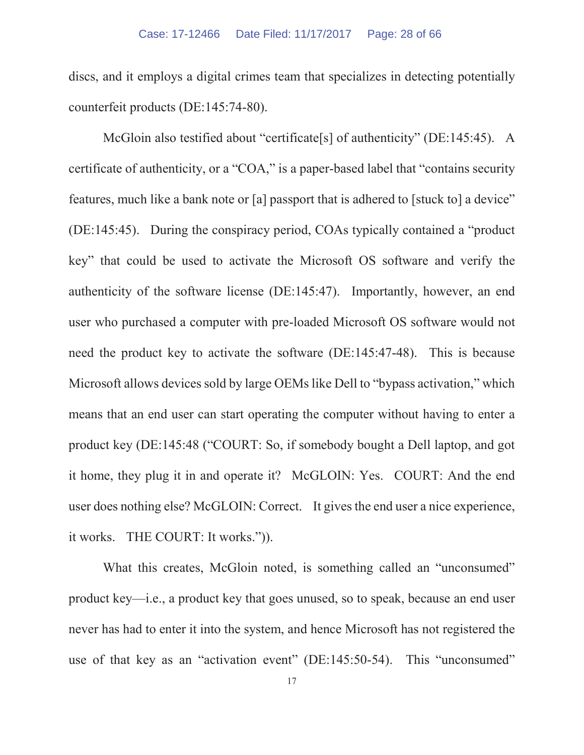discs, and it employs a digital crimes team that specializes in detecting potentially counterfeit products (DE:145:74-80).

McGloin also testified about "certificate<sup>[s]</sup> of authenticity" (DE:145:45). A certificate of authenticity, or a "COA," is a paper-based label that "contains security features, much like a bank note or [a] passport that is adhered to [stuck to] a device" (DE:145:45). During the conspiracy period, COAs typically contained a "product key" that could be used to activate the Microsoft OS software and verify the authenticity of the software license (DE:145:47). Importantly, however, an end user who purchased a computer with pre-loaded Microsoft OS software would not need the product key to activate the software (DE:145:47-48). This is because Microsoft allows devices sold by large OEMs like Dell to "bypass activation," which means that an end user can start operating the computer without having to enter a product key (DE:145:48 ("COURT: So, if somebody bought a Dell laptop, and got it home, they plug it in and operate it? McGLOIN: Yes. COURT: And the end user does nothing else? McGLOIN: Correct. It gives the end user a nice experience, it works. THE COURT: It works.")).

What this creates, McGloin noted, is something called an "unconsumed" product key—i.e., a product key that goes unused, so to speak, because an end user never has had to enter it into the system, and hence Microsoft has not registered the use of that key as an "activation event" (DE:145:50-54). This "unconsumed"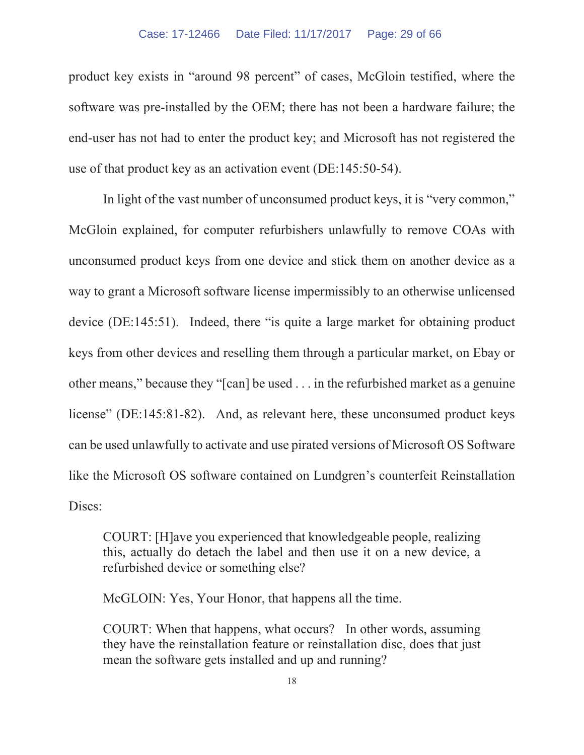#### Case: 17-12466 Date Filed: 11/17/2017 Page: 29 of 66

product key exists in "around 98 percent" of cases, McGloin testified, where the software was pre-installed by the OEM; there has not been a hardware failure; the end-user has not had to enter the product key; and Microsoft has not registered the use of that product key as an activation event (DE:145:50-54).

In light of the vast number of unconsumed product keys, it is "very common," McGloin explained, for computer refurbishers unlawfully to remove COAs with unconsumed product keys from one device and stick them on another device as a way to grant a Microsoft software license impermissibly to an otherwise unlicensed device (DE:145:51). Indeed, there "is quite a large market for obtaining product keys from other devices and reselling them through a particular market, on Ebay or other means," because they "[can] be used . . . in the refurbished market as a genuine license" (DE:145:81-82). And, as relevant here, these unconsumed product keys can be used unlawfully to activate and use pirated versions of Microsoft OS Software like the Microsoft OS software contained on Lundgren's counterfeit Reinstallation Discs:

COURT: [H]ave you experienced that knowledgeable people, realizing this, actually do detach the label and then use it on a new device, a refurbished device or something else?

McGLOIN: Yes, Your Honor, that happens all the time.

COURT: When that happens, what occurs? In other words, assuming they have the reinstallation feature or reinstallation disc, does that just mean the software gets installed and up and running?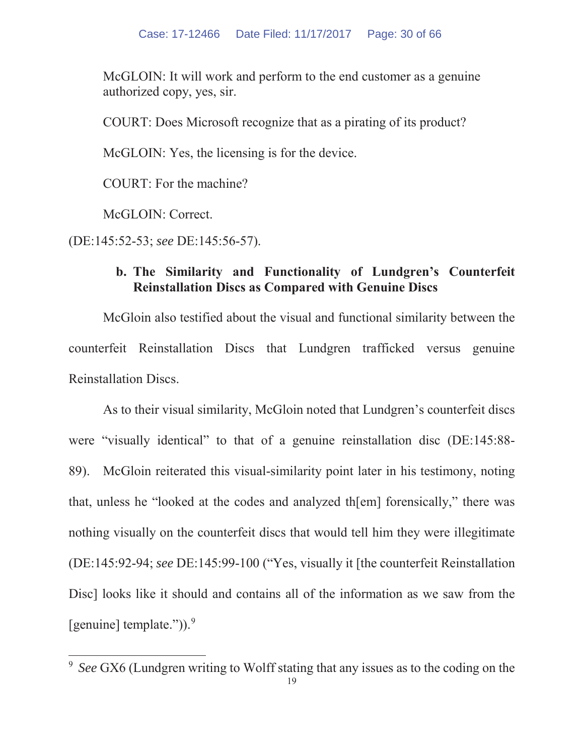McGLOIN: It will work and perform to the end customer as a genuine authorized copy, yes, sir.

COURT: Does Microsoft recognize that as a pirating of its product?

McGLOIN: Yes, the licensing is for the device.

COURT: For the machine?

McGLOIN: Correct.

(DE:145:52-53; *see* DE:145:56-57).

## **b. The Similarity and Functionality of Lundgren's Counterfeit Reinstallation Discs as Compared with Genuine Discs**

McGloin also testified about the visual and functional similarity between the counterfeit Reinstallation Discs that Lundgren trafficked versus genuine Reinstallation Discs.

As to their visual similarity, McGloin noted that Lundgren's counterfeit discs were "visually identical" to that of a genuine reinstallation disc (DE:145:88- 89). McGloin reiterated this visual-similarity point later in his testimony, noting that, unless he "looked at the codes and analyzed th[em] forensically," there was nothing visually on the counterfeit discs that would tell him they were illegitimate (DE:145:92-94; *see* DE:145:99-100 ("Yes, visually it [the counterfeit Reinstallation Disc] looks like it should and contains all of the information as we saw from the [genuine] template.")). $9$ 

<sup>9</sup> *See* GX6 (Lundgren writing to Wolff stating that any issues as to the coding on the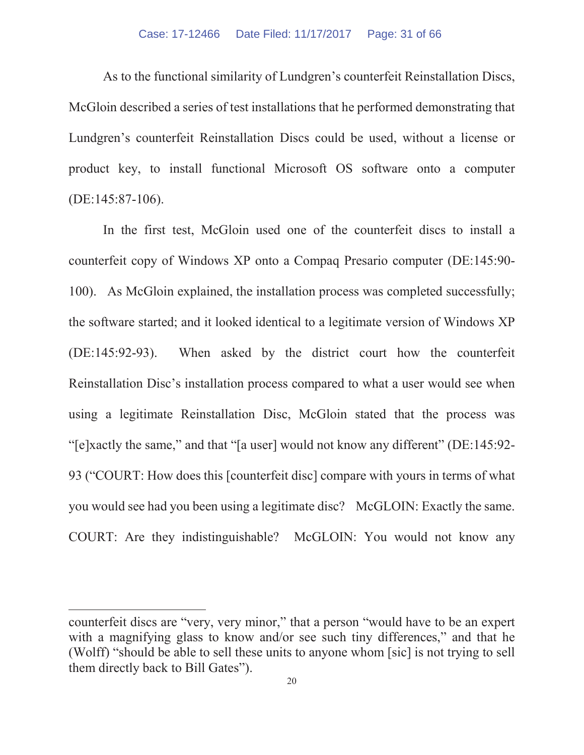As to the functional similarity of Lundgren's counterfeit Reinstallation Discs, McGloin described a series of test installations that he performed demonstrating that Lundgren's counterfeit Reinstallation Discs could be used, without a license or product key, to install functional Microsoft OS software onto a computer (DE:145:87-106).

In the first test, McGloin used one of the counterfeit discs to install a counterfeit copy of Windows XP onto a Compaq Presario computer (DE:145:90- 100). As McGloin explained, the installation process was completed successfully; the software started; and it looked identical to a legitimate version of Windows XP (DE:145:92-93). When asked by the district court how the counterfeit Reinstallation Disc's installation process compared to what a user would see when using a legitimate Reinstallation Disc, McGloin stated that the process was "[e]xactly the same," and that "[a user] would not know any different" (DE:145:92- 93 ("COURT: How does this [counterfeit disc] compare with yours in terms of what you would see had you been using a legitimate disc? McGLOIN: Exactly the same. COURT: Are they indistinguishable? McGLOIN: You would not know any

counterfeit discs are "very, very minor," that a person "would have to be an expert with a magnifying glass to know and/or see such tiny differences," and that he (Wolff) "should be able to sell these units to anyone whom [sic] is not trying to sell them directly back to Bill Gates").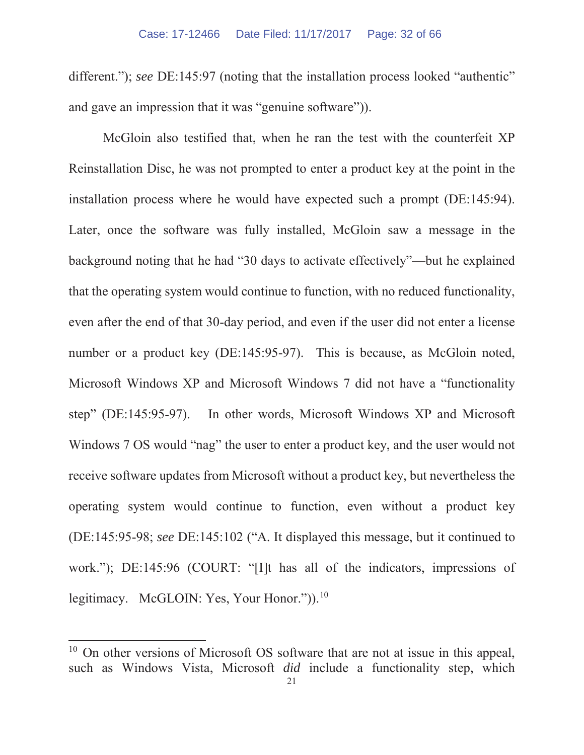different."); *see* DE:145:97 (noting that the installation process looked "authentic" and gave an impression that it was "genuine software")).

McGloin also testified that, when he ran the test with the counterfeit XP Reinstallation Disc, he was not prompted to enter a product key at the point in the installation process where he would have expected such a prompt (DE:145:94). Later, once the software was fully installed, McGloin saw a message in the background noting that he had "30 days to activate effectively"—but he explained that the operating system would continue to function, with no reduced functionality, even after the end of that 30-day period, and even if the user did not enter a license number or a product key (DE:145:95-97). This is because, as McGloin noted, Microsoft Windows XP and Microsoft Windows 7 did not have a "functionality step" (DE:145:95-97). In other words, Microsoft Windows XP and Microsoft Windows 7 OS would "nag" the user to enter a product key, and the user would not receive software updates from Microsoft without a product key, but nevertheless the operating system would continue to function, even without a product key (DE:145:95-98; *see* DE:145:102 ("A. It displayed this message, but it continued to work."); DE:145:96 (COURT: "[I]t has all of the indicators, impressions of legitimacy. McGLOIN: Yes, Your Honor.")).<sup>10</sup>

<sup>&</sup>lt;sup>10</sup> On other versions of Microsoft OS software that are not at issue in this appeal, such as Windows Vista, Microsoft *did* include a functionality step, which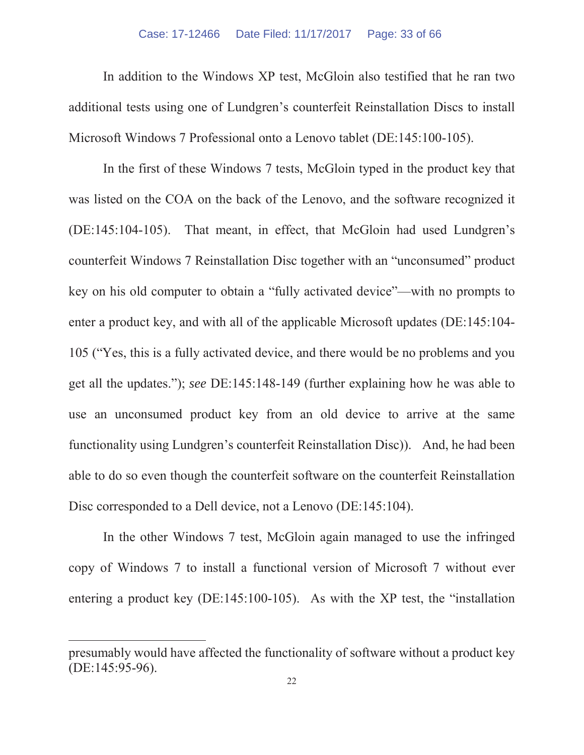#### Case: 17-12466 Date Filed: 11/17/2017 Page: 33 of 66

In addition to the Windows XP test, McGloin also testified that he ran two additional tests using one of Lundgren's counterfeit Reinstallation Discs to install Microsoft Windows 7 Professional onto a Lenovo tablet (DE:145:100-105).

In the first of these Windows 7 tests, McGloin typed in the product key that was listed on the COA on the back of the Lenovo, and the software recognized it (DE:145:104-105). That meant, in effect, that McGloin had used Lundgren's counterfeit Windows 7 Reinstallation Disc together with an "unconsumed" product key on his old computer to obtain a "fully activated device"—with no prompts to enter a product key, and with all of the applicable Microsoft updates (DE:145:104- 105 ("Yes, this is a fully activated device, and there would be no problems and you get all the updates."); *see* DE:145:148-149 (further explaining how he was able to use an unconsumed product key from an old device to arrive at the same functionality using Lundgren's counterfeit Reinstallation Disc)). And, he had been able to do so even though the counterfeit software on the counterfeit Reinstallation Disc corresponded to a Dell device, not a Lenovo (DE:145:104).

In the other Windows 7 test, McGloin again managed to use the infringed copy of Windows 7 to install a functional version of Microsoft 7 without ever entering a product key (DE:145:100-105). As with the XP test, the "installation

presumably would have affected the functionality of software without a product key (DE:145:95-96).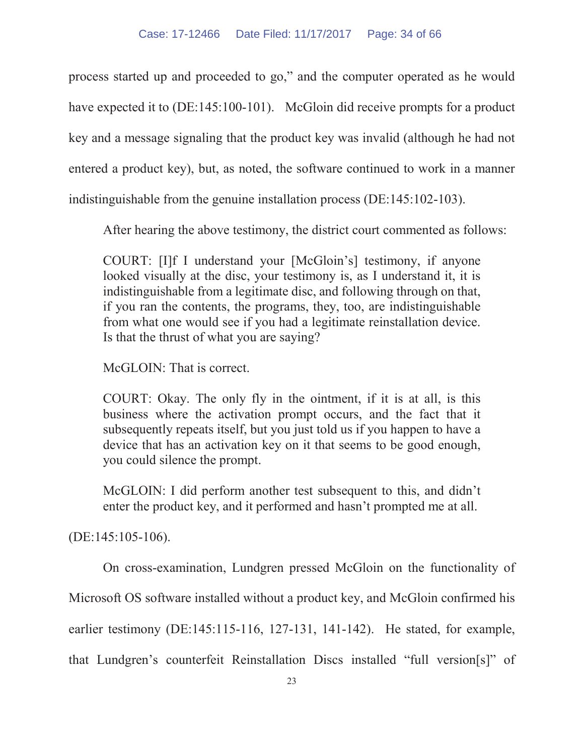process started up and proceeded to go," and the computer operated as he would have expected it to (DE:145:100-101). McGloin did receive prompts for a product key and a message signaling that the product key was invalid (although he had not entered a product key), but, as noted, the software continued to work in a manner indistinguishable from the genuine installation process (DE:145:102-103).

After hearing the above testimony, the district court commented as follows:

COURT: [I]f I understand your [McGloin's] testimony, if anyone looked visually at the disc, your testimony is, as I understand it, it is indistinguishable from a legitimate disc, and following through on that, if you ran the contents, the programs, they, too, are indistinguishable from what one would see if you had a legitimate reinstallation device. Is that the thrust of what you are saying?

McGLOIN: That is correct.

COURT: Okay. The only fly in the ointment, if it is at all, is this business where the activation prompt occurs, and the fact that it subsequently repeats itself, but you just told us if you happen to have a device that has an activation key on it that seems to be good enough, you could silence the prompt.

McGLOIN: I did perform another test subsequent to this, and didn't enter the product key, and it performed and hasn't prompted me at all.

(DE:145:105-106).

On cross-examination, Lundgren pressed McGloin on the functionality of

Microsoft OS software installed without a product key, and McGloin confirmed his

earlier testimony (DE:145:115-116, 127-131, 141-142). He stated, for example,

that Lundgren's counterfeit Reinstallation Discs installed "full version[s]" of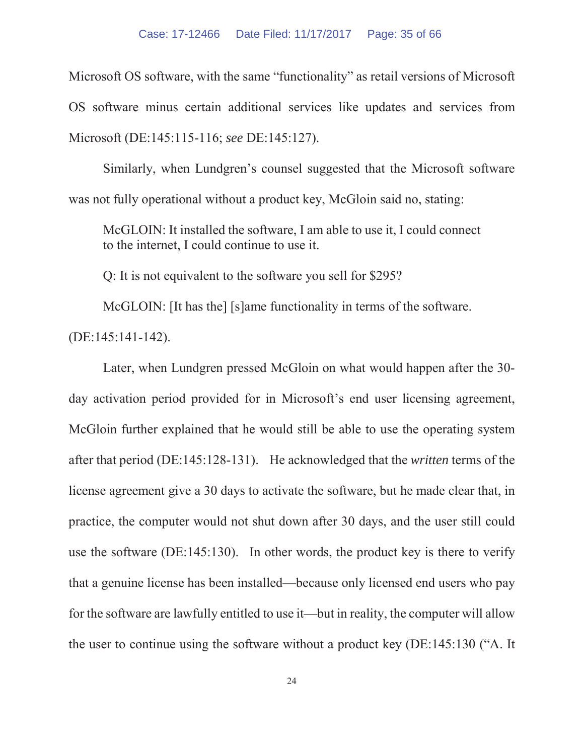Microsoft OS software, with the same "functionality" as retail versions of Microsoft OS software minus certain additional services like updates and services from Microsoft (DE:145:115-116; *see* DE:145:127).

Similarly, when Lundgren's counsel suggested that the Microsoft software was not fully operational without a product key, McGloin said no, stating:

McGLOIN: It installed the software, I am able to use it, I could connect to the internet, I could continue to use it.

Q: It is not equivalent to the software you sell for \$295?

McGLOIN: [It has the] [s]ame functionality in terms of the software.

(DE:145:141-142).

Later, when Lundgren pressed McGloin on what would happen after the 30 day activation period provided for in Microsoft's end user licensing agreement, McGloin further explained that he would still be able to use the operating system after that period (DE:145:128-131). He acknowledged that the *written* terms of the license agreement give a 30 days to activate the software, but he made clear that, in practice, the computer would not shut down after 30 days, and the user still could use the software (DE:145:130). In other words, the product key is there to verify that a genuine license has been installed—because only licensed end users who pay for the software are lawfully entitled to use it—but in reality, the computer will allow the user to continue using the software without a product key (DE:145:130 ("A. It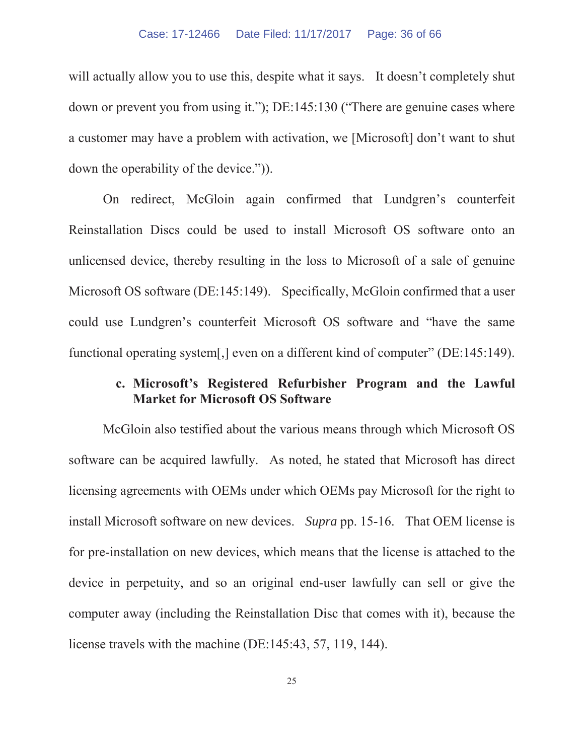will actually allow you to use this, despite what it says. It doesn't completely shut down or prevent you from using it."); DE:145:130 ("There are genuine cases where a customer may have a problem with activation, we [Microsoft] don't want to shut down the operability of the device.")).

On redirect, McGloin again confirmed that Lundgren's counterfeit Reinstallation Discs could be used to install Microsoft OS software onto an unlicensed device, thereby resulting in the loss to Microsoft of a sale of genuine Microsoft OS software (DE:145:149). Specifically, McGloin confirmed that a user could use Lundgren's counterfeit Microsoft OS software and "have the same functional operating system[,] even on a different kind of computer" (DE:145:149).

## **c. Microsoft's Registered Refurbisher Program and the Lawful Market for Microsoft OS Software**

McGloin also testified about the various means through which Microsoft OS software can be acquired lawfully. As noted, he stated that Microsoft has direct licensing agreements with OEMs under which OEMs pay Microsoft for the right to install Microsoft software on new devices. *Supra* pp. 15-16. That OEM license is for pre-installation on new devices, which means that the license is attached to the device in perpetuity, and so an original end-user lawfully can sell or give the computer away (including the Reinstallation Disc that comes with it), because the license travels with the machine (DE:145:43, 57, 119, 144).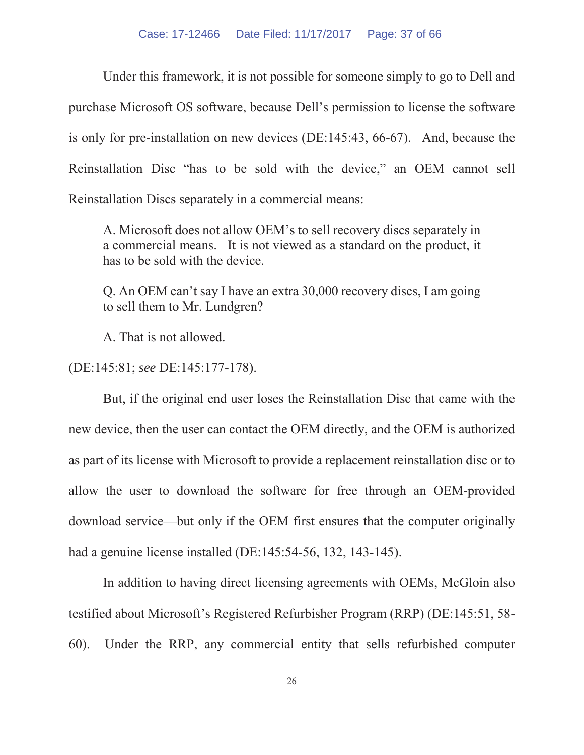Under this framework, it is not possible for someone simply to go to Dell and purchase Microsoft OS software, because Dell's permission to license the software is only for pre-installation on new devices (DE:145:43, 66-67). And, because the Reinstallation Disc "has to be sold with the device," an OEM cannot sell Reinstallation Discs separately in a commercial means:

A. Microsoft does not allow OEM's to sell recovery discs separately in a commercial means. It is not viewed as a standard on the product, it has to be sold with the device.

Q. An OEM can't say I have an extra 30,000 recovery discs, I am going to sell them to Mr. Lundgren?

A. That is not allowed.

(DE:145:81; *see* DE:145:177-178).

But, if the original end user loses the Reinstallation Disc that came with the new device, then the user can contact the OEM directly, and the OEM is authorized as part of its license with Microsoft to provide a replacement reinstallation disc or to allow the user to download the software for free through an OEM-provided download service—but only if the OEM first ensures that the computer originally had a genuine license installed (DE:145:54-56, 132, 143-145).

In addition to having direct licensing agreements with OEMs, McGloin also testified about Microsoft's Registered Refurbisher Program (RRP) (DE:145:51, 58- 60). Under the RRP, any commercial entity that sells refurbished computer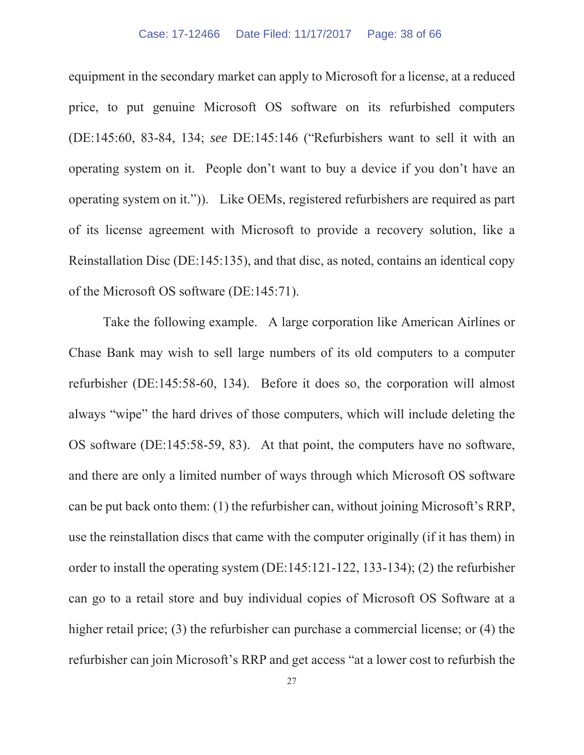#### Case: 17-12466 Date Filed: 11/17/2017 Page: 38 of 66

equipment in the secondary market can apply to Microsoft for a license, at a reduced price, to put genuine Microsoft OS software on its refurbished computers (DE:145:60, 83-84, 134; *see* DE:145:146 ("Refurbishers want to sell it with an operating system on it. People don't want to buy a device if you don't have an operating system on it.")). Like OEMs, registered refurbishers are required as part of its license agreement with Microsoft to provide a recovery solution, like a Reinstallation Disc (DE:145:135), and that disc, as noted, contains an identical copy of the Microsoft OS software (DE:145:71).

Take the following example. A large corporation like American Airlines or Chase Bank may wish to sell large numbers of its old computers to a computer refurbisher (DE:145:58-60, 134). Before it does so, the corporation will almost always "wipe" the hard drives of those computers, which will include deleting the OS software (DE:145:58-59, 83). At that point, the computers have no software, and there are only a limited number of ways through which Microsoft OS software can be put back onto them: (1) the refurbisher can, without joining Microsoft's RRP, use the reinstallation discs that came with the computer originally (if it has them) in order to install the operating system (DE:145:121-122, 133-134); (2) the refurbisher can go to a retail store and buy individual copies of Microsoft OS Software at a higher retail price; (3) the refurbisher can purchase a commercial license; or (4) the refurbisher can join Microsoft's RRP and get access "at a lower cost to refurbish the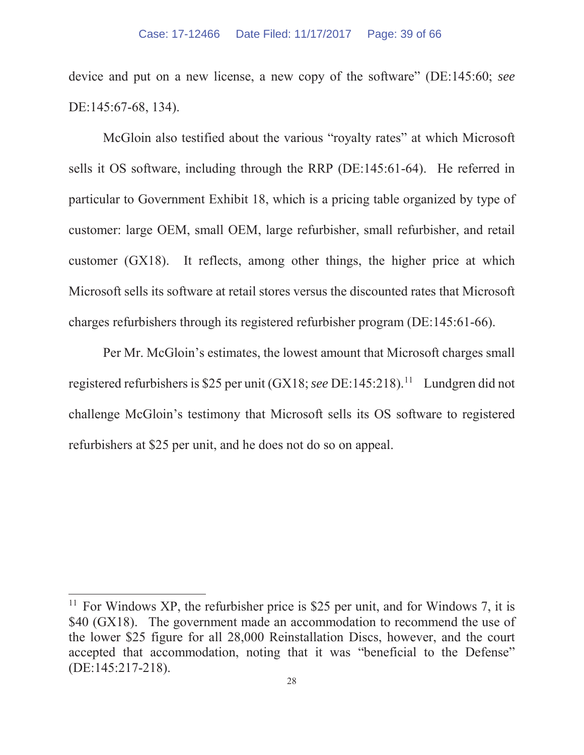device and put on a new license, a new copy of the software" (DE:145:60; *see*  DE:145:67-68, 134).

McGloin also testified about the various "royalty rates" at which Microsoft sells it OS software, including through the RRP (DE:145:61-64). He referred in particular to Government Exhibit 18, which is a pricing table organized by type of customer: large OEM, small OEM, large refurbisher, small refurbisher, and retail customer (GX18). It reflects, among other things, the higher price at which Microsoft sells its software at retail stores versus the discounted rates that Microsoft charges refurbishers through its registered refurbisher program (DE:145:61-66).

Per Mr. McGloin's estimates, the lowest amount that Microsoft charges small registered refurbishers is \$25 per unit (GX18; *see* DE:145:218).11 Lundgren did not challenge McGloin's testimony that Microsoft sells its OS software to registered refurbishers at \$25 per unit, and he does not do so on appeal.

<sup>&</sup>lt;sup>11</sup> For Windows XP, the refurbisher price is \$25 per unit, and for Windows 7, it is \$40 (GX18). The government made an accommodation to recommend the use of the lower \$25 figure for all 28,000 Reinstallation Discs, however, and the court accepted that accommodation, noting that it was "beneficial to the Defense" (DE:145:217-218).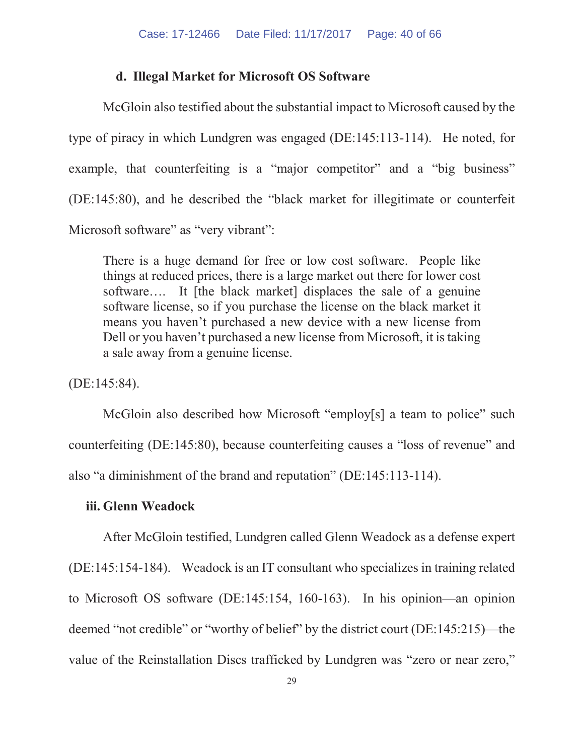#### **d. Illegal Market for Microsoft OS Software**

McGloin also testified about the substantial impact to Microsoft caused by the type of piracy in which Lundgren was engaged (DE:145:113-114). He noted, for example, that counterfeiting is a "major competitor" and a "big business" (DE:145:80), and he described the "black market for illegitimate or counterfeit Microsoft software" as "very vibrant":

There is a huge demand for free or low cost software. People like things at reduced prices, there is a large market out there for lower cost software…. It [the black market] displaces the sale of a genuine software license, so if you purchase the license on the black market it means you haven't purchased a new device with a new license from Dell or you haven't purchased a new license from Microsoft, it is taking a sale away from a genuine license.

(DE:145:84).

McGloin also described how Microsoft "employ[s] a team to police" such counterfeiting (DE:145:80), because counterfeiting causes a "loss of revenue" and also "a diminishment of the brand and reputation" (DE:145:113-114).

## **iii. Glenn Weadock**

After McGloin testified, Lundgren called Glenn Weadock as a defense expert (DE:145:154-184). Weadock is an IT consultant who specializes in training related to Microsoft OS software (DE:145:154, 160-163). In his opinion—an opinion deemed "not credible" or "worthy of belief" by the district court (DE:145:215)—the value of the Reinstallation Discs trafficked by Lundgren was "zero or near zero,"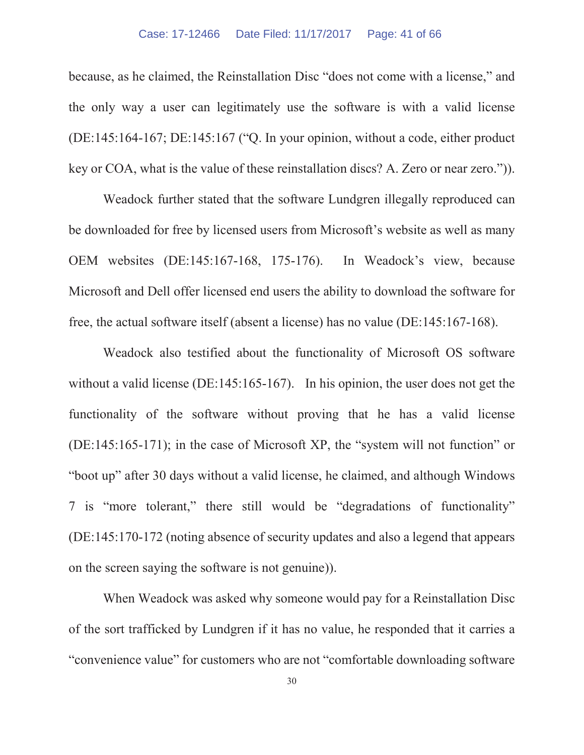because, as he claimed, the Reinstallation Disc "does not come with a license," and the only way a user can legitimately use the software is with a valid license (DE:145:164-167; DE:145:167 ("Q. In your opinion, without a code, either product key or COA, what is the value of these reinstallation discs? A. Zero or near zero.")).

Weadock further stated that the software Lundgren illegally reproduced can be downloaded for free by licensed users from Microsoft's website as well as many OEM websites (DE:145:167-168, 175-176). In Weadock's view, because Microsoft and Dell offer licensed end users the ability to download the software for free, the actual software itself (absent a license) has no value (DE:145:167-168).

Weadock also testified about the functionality of Microsoft OS software without a valid license (DE:145:165-167). In his opinion, the user does not get the functionality of the software without proving that he has a valid license (DE:145:165-171); in the case of Microsoft XP, the "system will not function" or "boot up" after 30 days without a valid license, he claimed, and although Windows 7 is "more tolerant," there still would be "degradations of functionality" (DE:145:170-172 (noting absence of security updates and also a legend that appears on the screen saying the software is not genuine)).

When Weadock was asked why someone would pay for a Reinstallation Disc of the sort trafficked by Lundgren if it has no value, he responded that it carries a "convenience value" for customers who are not "comfortable downloading software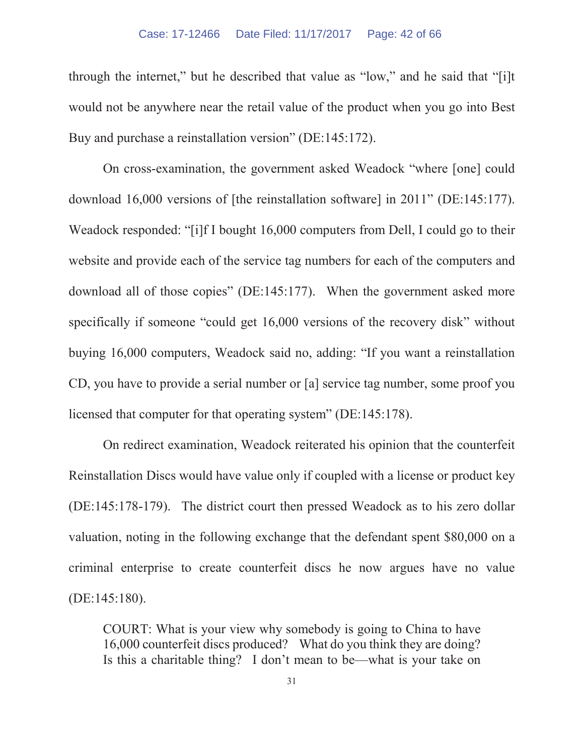#### Case: 17-12466 Date Filed: 11/17/2017 Page: 42 of 66

through the internet," but he described that value as "low," and he said that "[i]t would not be anywhere near the retail value of the product when you go into Best Buy and purchase a reinstallation version" (DE:145:172).

On cross-examination, the government asked Weadock "where [one] could download 16,000 versions of [the reinstallation software] in 2011" (DE:145:177). Weadock responded: "[i]f I bought 16,000 computers from Dell, I could go to their website and provide each of the service tag numbers for each of the computers and download all of those copies" (DE:145:177). When the government asked more specifically if someone "could get 16,000 versions of the recovery disk" without buying 16,000 computers, Weadock said no, adding: "If you want a reinstallation CD, you have to provide a serial number or [a] service tag number, some proof you licensed that computer for that operating system" (DE:145:178).

On redirect examination, Weadock reiterated his opinion that the counterfeit Reinstallation Discs would have value only if coupled with a license or product key (DE:145:178-179). The district court then pressed Weadock as to his zero dollar valuation, noting in the following exchange that the defendant spent \$80,000 on a criminal enterprise to create counterfeit discs he now argues have no value (DE:145:180).

COURT: What is your view why somebody is going to China to have 16,000 counterfeit discs produced? What do you think they are doing? Is this a charitable thing? I don't mean to be—what is your take on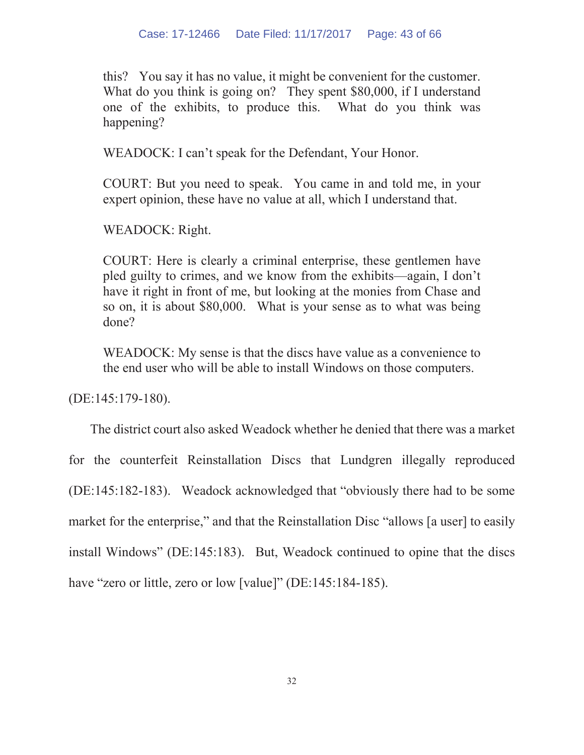this? You say it has no value, it might be convenient for the customer. What do you think is going on? They spent \$80,000, if I understand one of the exhibits, to produce this. What do you think was happening?

WEADOCK: I can't speak for the Defendant, Your Honor.

COURT: But you need to speak. You came in and told me, in your expert opinion, these have no value at all, which I understand that.

WEADOCK: Right.

COURT: Here is clearly a criminal enterprise, these gentlemen have pled guilty to crimes, and we know from the exhibits—again, I don't have it right in front of me, but looking at the monies from Chase and so on, it is about \$80,000. What is your sense as to what was being done?

WEADOCK: My sense is that the discs have value as a convenience to the end user who will be able to install Windows on those computers.

(DE:145:179-180).

The district court also asked Weadock whether he denied that there was a market

for the counterfeit Reinstallation Discs that Lundgren illegally reproduced

(DE:145:182-183). Weadock acknowledged that "obviously there had to be some

market for the enterprise," and that the Reinstallation Disc "allows [a user] to easily

install Windows" (DE:145:183). But, Weadock continued to opine that the discs

have "zero or little, zero or low [value]" (DE:145:184-185).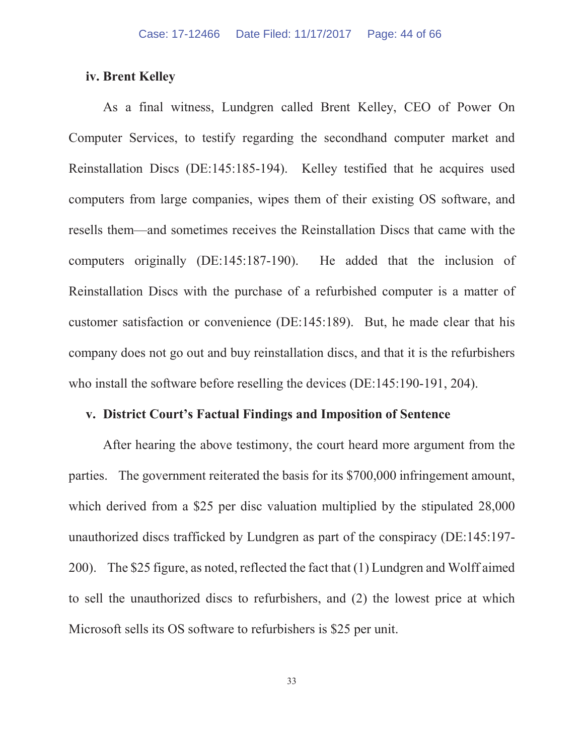#### **iv. Brent Kelley**

As a final witness, Lundgren called Brent Kelley, CEO of Power On Computer Services, to testify regarding the secondhand computer market and Reinstallation Discs (DE:145:185-194). Kelley testified that he acquires used computers from large companies, wipes them of their existing OS software, and resells them—and sometimes receives the Reinstallation Discs that came with the computers originally (DE:145:187-190). He added that the inclusion of Reinstallation Discs with the purchase of a refurbished computer is a matter of customer satisfaction or convenience (DE:145:189). But, he made clear that his company does not go out and buy reinstallation discs, and that it is the refurbishers who install the software before reselling the devices (DE:145:190-191, 204).

#### **v. District Court's Factual Findings and Imposition of Sentence**

After hearing the above testimony, the court heard more argument from the parties. The government reiterated the basis for its \$700,000 infringement amount, which derived from a \$25 per disc valuation multiplied by the stipulated 28,000 unauthorized discs trafficked by Lundgren as part of the conspiracy (DE:145:197- 200). The \$25 figure, as noted, reflected the fact that (1) Lundgren and Wolff aimed to sell the unauthorized discs to refurbishers, and (2) the lowest price at which Microsoft sells its OS software to refurbishers is \$25 per unit.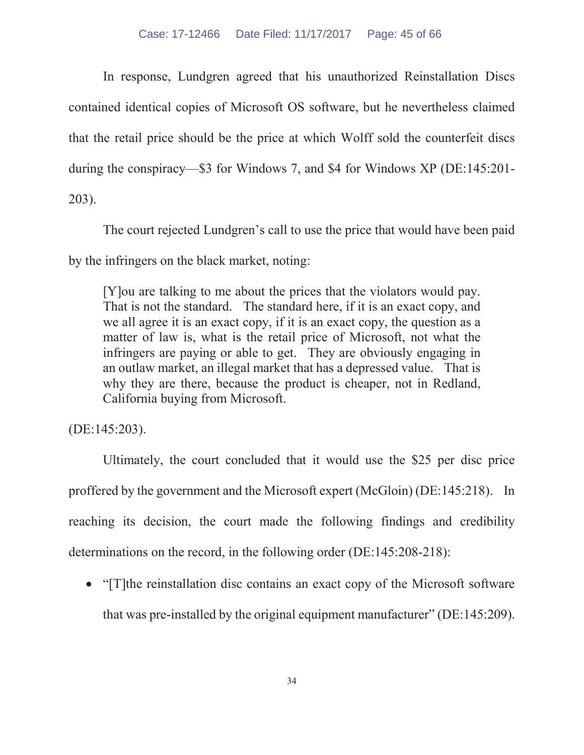In response, Lundgren agreed that his unauthorized Reinstallation Discs contained identical copies of Microsoft OS software, but he nevertheless claimed that the retail price should be the price at which Wolff sold the counterfeit discs during the conspiracy—\$3 for Windows 7, and \$4 for Windows XP (DE:145:201- 203).

The court rejected Lundgren's call to use the price that would have been paid by the infringers on the black market, noting:

[Y]ou are talking to me about the prices that the violators would pay. That is not the standard. The standard here, if it is an exact copy, and we all agree it is an exact copy, if it is an exact copy, the question as a matter of law is, what is the retail price of Microsoft, not what the infringers are paying or able to get. They are obviously engaging in an outlaw market, an illegal market that has a depressed value. That is why they are there, because the product is cheaper, not in Redland, California buying from Microsoft.

(DE:145:203).

Ultimately, the court concluded that it would use the \$25 per disc price proffered by the government and the Microsoft expert (McGloin) (DE:145:218). In reaching its decision, the court made the following findings and credibility determinations on the record, in the following order (DE:145:208-218):

• "[T]the reinstallation disc contains an exact copy of the Microsoft software that was pre-installed by the original equipment manufacturer" (DE:145:209).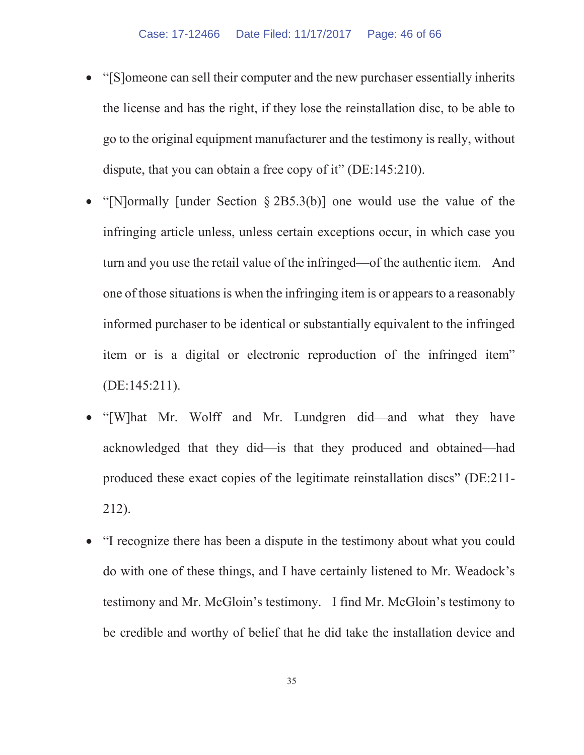- x "[S]omeone can sell their computer and the new purchaser essentially inherits the license and has the right, if they lose the reinstallation disc, to be able to go to the original equipment manufacturer and the testimony is really, without dispute, that you can obtain a free copy of it" (DE:145:210).
- x "[N]ormally [under Section § 2B5.3(b)] one would use the value of the infringing article unless, unless certain exceptions occur, in which case you turn and you use the retail value of the infringed—of the authentic item. And one of those situations is when the infringing item is or appears to a reasonably informed purchaser to be identical or substantially equivalent to the infringed item or is a digital or electronic reproduction of the infringed item" (DE:145:211).
- x "[W]hat Mr. Wolff and Mr. Lundgren did—and what they have acknowledged that they did—is that they produced and obtained—had produced these exact copies of the legitimate reinstallation discs" (DE:211- 212).
- x "I recognize there has been a dispute in the testimony about what you could do with one of these things, and I have certainly listened to Mr. Weadock's testimony and Mr. McGloin's testimony. I find Mr. McGloin's testimony to be credible and worthy of belief that he did take the installation device and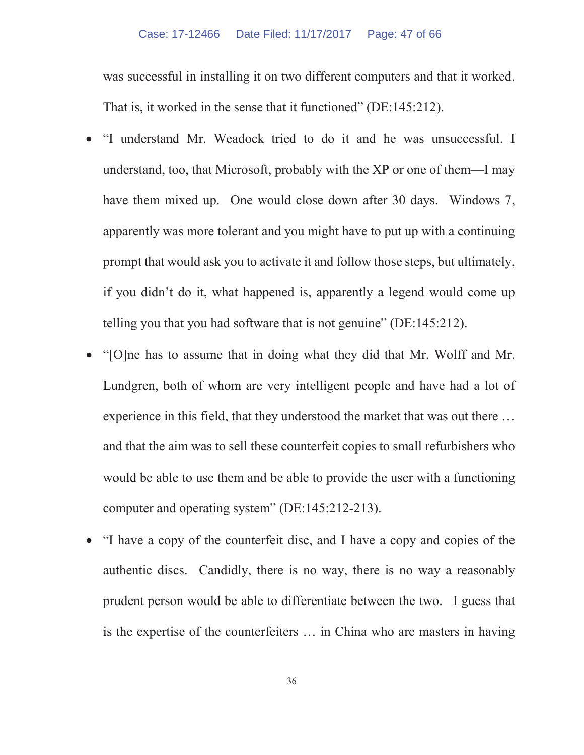was successful in installing it on two different computers and that it worked. That is, it worked in the sense that it functioned" (DE:145:212).

- "I understand Mr. Weadock tried to do it and he was unsuccessful. I understand, too, that Microsoft, probably with the XP or one of them—I may have them mixed up. One would close down after 30 days. Windows 7, apparently was more tolerant and you might have to put up with a continuing prompt that would ask you to activate it and follow those steps, but ultimately, if you didn't do it, what happened is, apparently a legend would come up telling you that you had software that is not genuine" (DE:145:212).
- x "[O]ne has to assume that in doing what they did that Mr. Wolff and Mr. Lundgren, both of whom are very intelligent people and have had a lot of experience in this field, that they understood the market that was out there … and that the aim was to sell these counterfeit copies to small refurbishers who would be able to use them and be able to provide the user with a functioning computer and operating system" (DE:145:212-213).
- x "I have a copy of the counterfeit disc, and I have a copy and copies of the authentic discs. Candidly, there is no way, there is no way a reasonably prudent person would be able to differentiate between the two. I guess that is the expertise of the counterfeiters … in China who are masters in having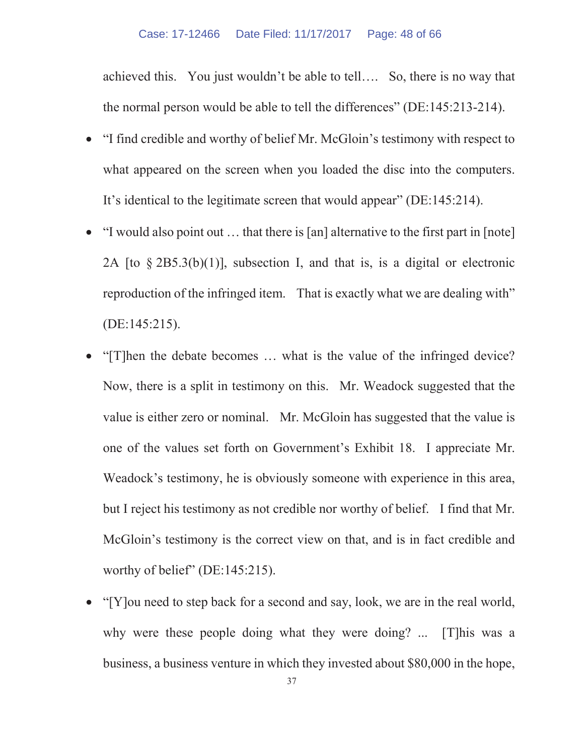achieved this. You just wouldn't be able to tell…. So, there is no way that the normal person would be able to tell the differences" (DE:145:213-214).

- x "I find credible and worthy of belief Mr. McGloin's testimony with respect to what appeared on the screen when you loaded the disc into the computers. It's identical to the legitimate screen that would appear" (DE:145:214).
- $\bullet$  "I would also point out  $\ldots$  that there is [an] alternative to the first part in [note] 2A [to § 2B5.3(b)(1)], subsection I, and that is, is a digital or electronic reproduction of the infringed item. That is exactly what we are dealing with" (DE:145:215).
- "[T]hen the debate becomes ... what is the value of the infringed device? Now, there is a split in testimony on this. Mr. Weadock suggested that the value is either zero or nominal. Mr. McGloin has suggested that the value is one of the values set forth on Government's Exhibit 18. I appreciate Mr. Weadock's testimony, he is obviously someone with experience in this area, but I reject his testimony as not credible nor worthy of belief. I find that Mr. McGloin's testimony is the correct view on that, and is in fact credible and worthy of belief" (DE:145:215).
- "[Y]ou need to step back for a second and say, look, we are in the real world, why were these people doing what they were doing? ... [T]his was a business, a business venture in which they invested about \$80,000 in the hope,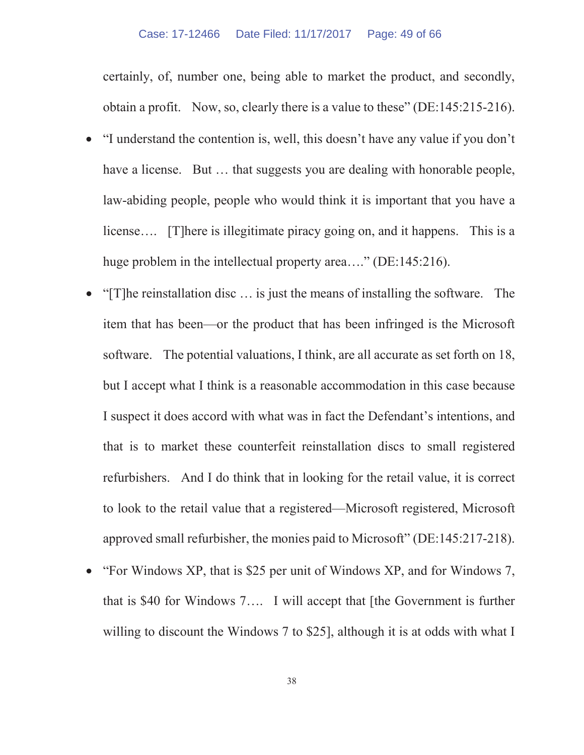certainly, of, number one, being able to market the product, and secondly, obtain a profit. Now, so, clearly there is a value to these" (DE:145:215-216).

- "I understand the contention is, well, this doesn't have any value if you don't have a license. But ... that suggests you are dealing with honorable people, law-abiding people, people who would think it is important that you have a license…. [T]here is illegitimate piracy going on, and it happens. This is a huge problem in the intellectual property area...." (DE:145:216).
- x "[T]he reinstallation disc … is just the means of installing the software. The item that has been—or the product that has been infringed is the Microsoft software. The potential valuations, I think, are all accurate as set forth on 18, but I accept what I think is a reasonable accommodation in this case because I suspect it does accord with what was in fact the Defendant's intentions, and that is to market these counterfeit reinstallation discs to small registered refurbishers. And I do think that in looking for the retail value, it is correct to look to the retail value that a registered—Microsoft registered, Microsoft approved small refurbisher, the monies paid to Microsoft" (DE:145:217-218).
- x "For Windows XP, that is \$25 per unit of Windows XP, and for Windows 7, that is \$40 for Windows 7…. I will accept that [the Government is further willing to discount the Windows 7 to \$25], although it is at odds with what I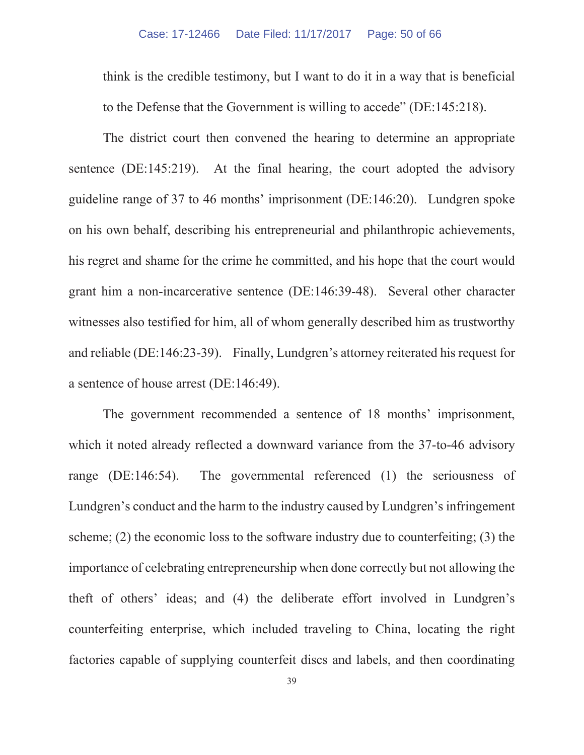think is the credible testimony, but I want to do it in a way that is beneficial to the Defense that the Government is willing to accede" (DE:145:218).

The district court then convened the hearing to determine an appropriate sentence (DE:145:219). At the final hearing, the court adopted the advisory guideline range of 37 to 46 months' imprisonment (DE:146:20). Lundgren spoke on his own behalf, describing his entrepreneurial and philanthropic achievements, his regret and shame for the crime he committed, and his hope that the court would grant him a non-incarcerative sentence (DE:146:39-48). Several other character witnesses also testified for him, all of whom generally described him as trustworthy and reliable (DE:146:23-39). Finally, Lundgren's attorney reiterated his request for a sentence of house arrest (DE:146:49).

The government recommended a sentence of 18 months' imprisonment, which it noted already reflected a downward variance from the 37-to-46 advisory range (DE:146:54). The governmental referenced (1) the seriousness of Lundgren's conduct and the harm to the industry caused by Lundgren's infringement scheme; (2) the economic loss to the software industry due to counterfeiting; (3) the importance of celebrating entrepreneurship when done correctly but not allowing the theft of others' ideas; and (4) the deliberate effort involved in Lundgren's counterfeiting enterprise, which included traveling to China, locating the right factories capable of supplying counterfeit discs and labels, and then coordinating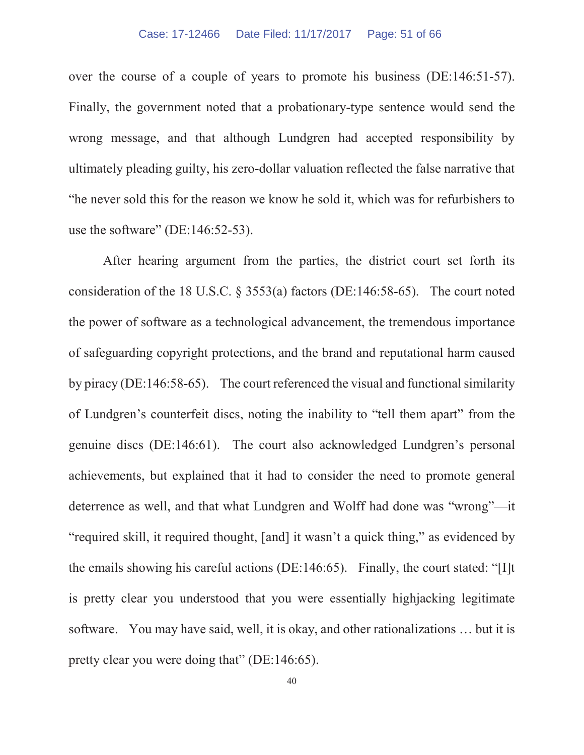over the course of a couple of years to promote his business (DE:146:51-57). Finally, the government noted that a probationary-type sentence would send the wrong message, and that although Lundgren had accepted responsibility by ultimately pleading guilty, his zero-dollar valuation reflected the false narrative that "he never sold this for the reason we know he sold it, which was for refurbishers to use the software" (DE:146:52-53).

After hearing argument from the parties, the district court set forth its consideration of the 18 U.S.C. § 3553(a) factors (DE:146:58-65). The court noted the power of software as a technological advancement, the tremendous importance of safeguarding copyright protections, and the brand and reputational harm caused by piracy (DE:146:58-65). The court referenced the visual and functional similarity of Lundgren's counterfeit discs, noting the inability to "tell them apart" from the genuine discs (DE:146:61). The court also acknowledged Lundgren's personal achievements, but explained that it had to consider the need to promote general deterrence as well, and that what Lundgren and Wolff had done was "wrong"—it "required skill, it required thought, [and] it wasn't a quick thing," as evidenced by the emails showing his careful actions (DE:146:65). Finally, the court stated: "[I]t is pretty clear you understood that you were essentially highjacking legitimate software. You may have said, well, it is okay, and other rationalizations … but it is pretty clear you were doing that" (DE:146:65).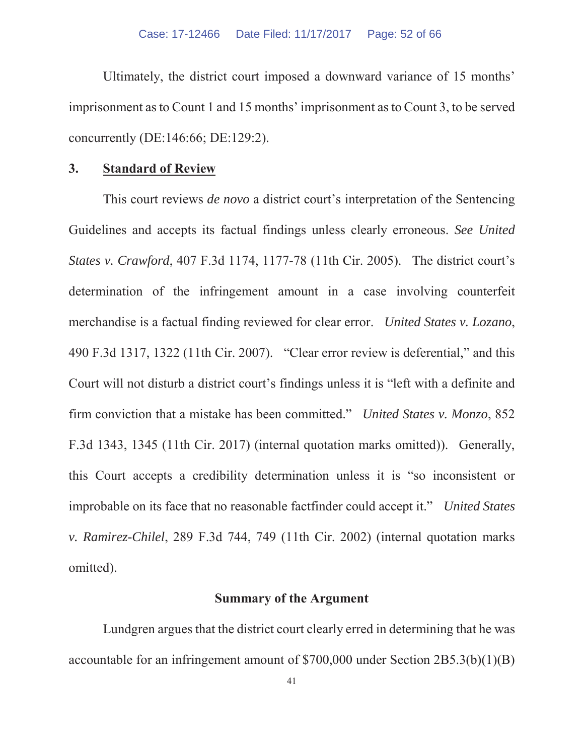Ultimately, the district court imposed a downward variance of 15 months' imprisonment as to Count 1 and 15 months' imprisonment as to Count 3, to be served concurrently (DE:146:66; DE:129:2).

#### **3. Standard of Review**

This court reviews *de novo* a district court's interpretation of the Sentencing Guidelines and accepts its factual findings unless clearly erroneous. *See United States v. Crawford*, 407 F.3d 1174, 1177-78 (11th Cir. 2005). The district court's determination of the infringement amount in a case involving counterfeit merchandise is a factual finding reviewed for clear error. *United States v. Lozano*, 490 F.3d 1317, 1322 (11th Cir. 2007). "Clear error review is deferential," and this Court will not disturb a district court's findings unless it is "left with a definite and firm conviction that a mistake has been committed." *United States v. Monzo*, 852 F.3d 1343, 1345 (11th Cir. 2017) (internal quotation marks omitted)). Generally, this Court accepts a credibility determination unless it is "so inconsistent or improbable on its face that no reasonable factfinder could accept it." *United States v. Ramirez-Chilel*, 289 F.3d 744, 749 (11th Cir. 2002) (internal quotation marks omitted).

#### **Summary of the Argument**

Lundgren argues that the district court clearly erred in determining that he was accountable for an infringement amount of \$700,000 under Section 2B5.3(b)(1)(B)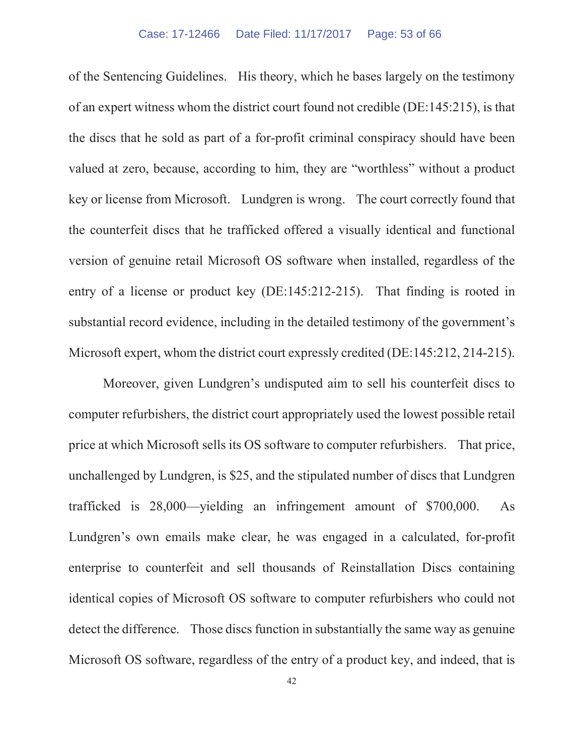of the Sentencing Guidelines. His theory, which he bases largely on the testimony of an expert witness whom the district court found not credible (DE:145:215), is that the discs that he sold as part of a for-profit criminal conspiracy should have been valued at zero, because, according to him, they are "worthless" without a product key or license from Microsoft. Lundgren is wrong. The court correctly found that the counterfeit discs that he trafficked offered a visually identical and functional version of genuine retail Microsoft OS software when installed, regardless of the entry of a license or product key (DE:145:212-215). That finding is rooted in substantial record evidence, including in the detailed testimony of the government's Microsoft expert, whom the district court expressly credited (DE:145:212, 214-215).

Moreover, given Lundgren's undisputed aim to sell his counterfeit discs to computer refurbishers, the district court appropriately used the lowest possible retail price at which Microsoft sells its OS software to computer refurbishers. That price, unchallenged by Lundgren, is \$25, and the stipulated number of discs that Lundgren trafficked is 28,000—yielding an infringement amount of \$700,000. As Lundgren's own emails make clear, he was engaged in a calculated, for-profit enterprise to counterfeit and sell thousands of Reinstallation Discs containing identical copies of Microsoft OS software to computer refurbishers who could not detect the difference. Those discs function in substantially the same way as genuine Microsoft OS software, regardless of the entry of a product key, and indeed, that is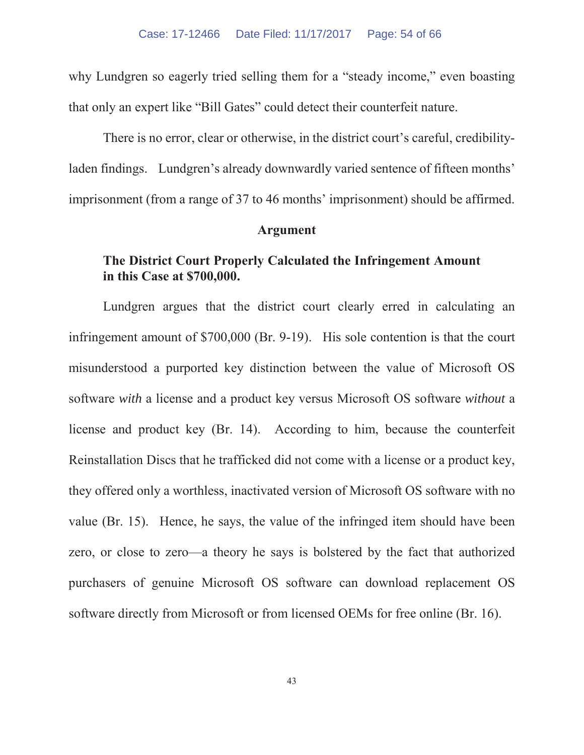why Lundgren so eagerly tried selling them for a "steady income," even boasting that only an expert like "Bill Gates" could detect their counterfeit nature.

There is no error, clear or otherwise, in the district court's careful, credibilityladen findings. Lundgren's already downwardly varied sentence of fifteen months' imprisonment (from a range of 37 to 46 months' imprisonment) should be affirmed.

#### **Argument**

## **The District Court Properly Calculated the Infringement Amount in this Case at \$700,000.**

Lundgren argues that the district court clearly erred in calculating an infringement amount of \$700,000 (Br. 9-19). His sole contention is that the court misunderstood a purported key distinction between the value of Microsoft OS software *with* a license and a product key versus Microsoft OS software *without* a license and product key (Br. 14). According to him, because the counterfeit Reinstallation Discs that he trafficked did not come with a license or a product key, they offered only a worthless, inactivated version of Microsoft OS software with no value (Br. 15). Hence, he says, the value of the infringed item should have been zero, or close to zero—a theory he says is bolstered by the fact that authorized purchasers of genuine Microsoft OS software can download replacement OS software directly from Microsoft or from licensed OEMs for free online (Br. 16).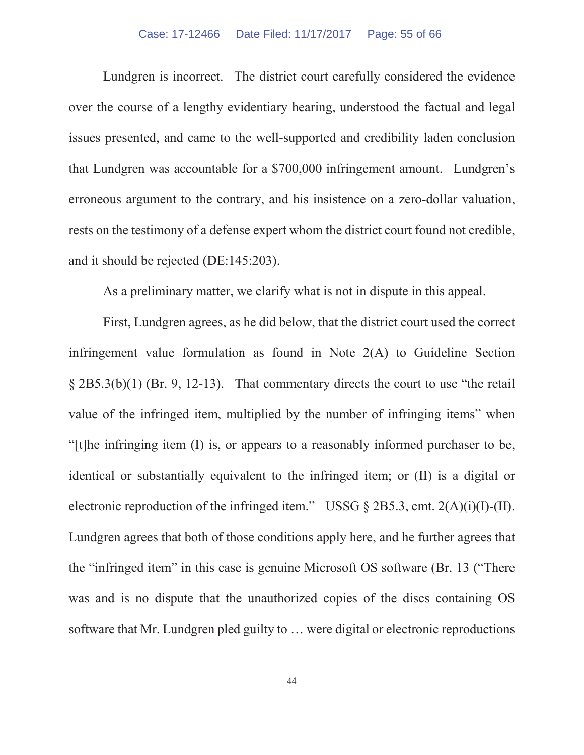#### Case: 17-12466 Date Filed: 11/17/2017 Page: 55 of 66

Lundgren is incorrect. The district court carefully considered the evidence over the course of a lengthy evidentiary hearing, understood the factual and legal issues presented, and came to the well-supported and credibility laden conclusion that Lundgren was accountable for a \$700,000 infringement amount. Lundgren's erroneous argument to the contrary, and his insistence on a zero-dollar valuation, rests on the testimony of a defense expert whom the district court found not credible, and it should be rejected (DE:145:203).

As a preliminary matter, we clarify what is not in dispute in this appeal.

First, Lundgren agrees, as he did below, that the district court used the correct infringement value formulation as found in Note 2(A) to Guideline Section § 2B5.3(b)(1) (Br. 9, 12-13). That commentary directs the court to use "the retail value of the infringed item, multiplied by the number of infringing items" when "[t]he infringing item (I) is, or appears to a reasonably informed purchaser to be, identical or substantially equivalent to the infringed item; or (II) is a digital or electronic reproduction of the infringed item." USSG  $\S$  2B5.3, cmt. 2(A)(i)(I)-(II). Lundgren agrees that both of those conditions apply here, and he further agrees that the "infringed item" in this case is genuine Microsoft OS software (Br. 13 ("There was and is no dispute that the unauthorized copies of the discs containing OS software that Mr. Lundgren pled guilty to … were digital or electronic reproductions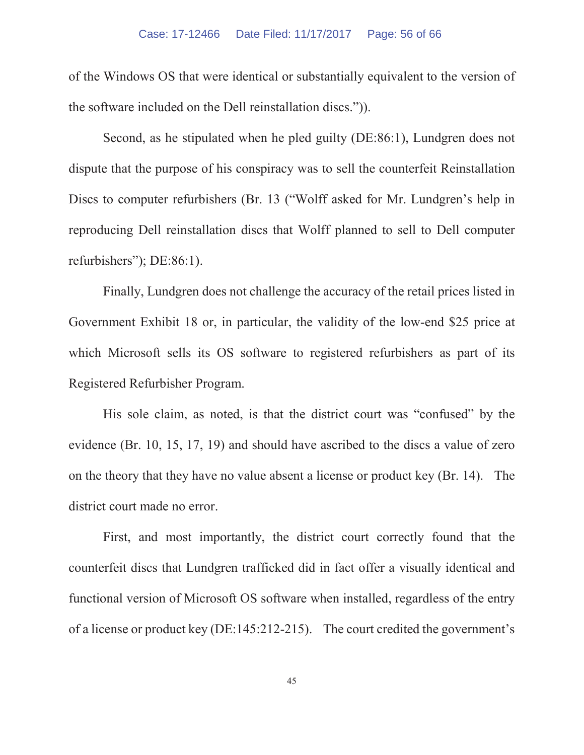of the Windows OS that were identical or substantially equivalent to the version of the software included on the Dell reinstallation discs.")).

Second, as he stipulated when he pled guilty (DE:86:1), Lundgren does not dispute that the purpose of his conspiracy was to sell the counterfeit Reinstallation Discs to computer refurbishers (Br. 13 ("Wolff asked for Mr. Lundgren's help in reproducing Dell reinstallation discs that Wolff planned to sell to Dell computer refurbishers"); DE:86:1).

Finally, Lundgren does not challenge the accuracy of the retail prices listed in Government Exhibit 18 or, in particular, the validity of the low-end \$25 price at which Microsoft sells its OS software to registered refurbishers as part of its Registered Refurbisher Program.

His sole claim, as noted, is that the district court was "confused" by the evidence (Br. 10, 15, 17, 19) and should have ascribed to the discs a value of zero on the theory that they have no value absent a license or product key (Br. 14). The district court made no error.

First, and most importantly, the district court correctly found that the counterfeit discs that Lundgren trafficked did in fact offer a visually identical and functional version of Microsoft OS software when installed, regardless of the entry of a license or product key (DE:145:212-215). The court credited the government's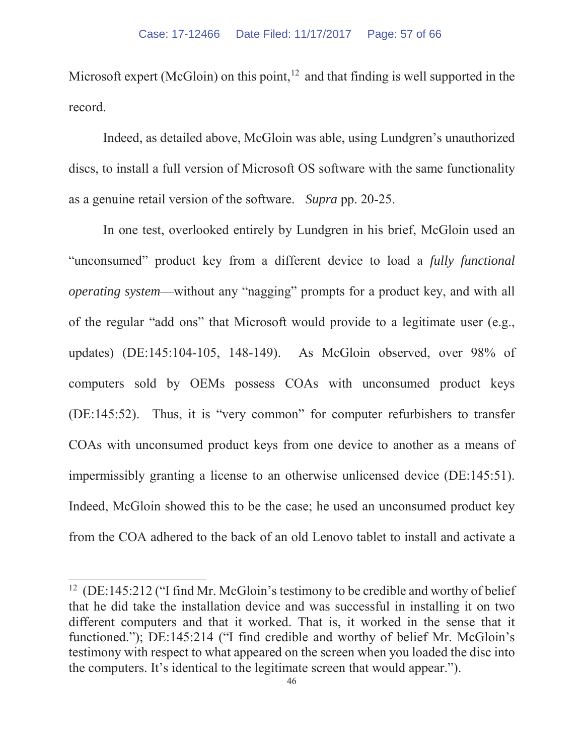Microsoft expert (McGloin) on this point,  $12$  and that finding is well supported in the record.

Indeed, as detailed above, McGloin was able, using Lundgren's unauthorized discs, to install a full version of Microsoft OS software with the same functionality as a genuine retail version of the software. *Supra* pp. 20-25.

In one test, overlooked entirely by Lundgren in his brief, McGloin used an "unconsumed" product key from a different device to load a *fully functional operating system*—without any "nagging" prompts for a product key, and with all of the regular "add ons" that Microsoft would provide to a legitimate user (e.g., updates) (DE:145:104-105, 148-149). As McGloin observed, over 98% of computers sold by OEMs possess COAs with unconsumed product keys (DE:145:52). Thus, it is "very common" for computer refurbishers to transfer COAs with unconsumed product keys from one device to another as a means of impermissibly granting a license to an otherwise unlicensed device (DE:145:51). Indeed, McGloin showed this to be the case; he used an unconsumed product key from the COA adhered to the back of an old Lenovo tablet to install and activate a

<sup>&</sup>lt;sup>12</sup> (DE:145:212 ("I find Mr. McGloin's testimony to be credible and worthy of belief that he did take the installation device and was successful in installing it on two different computers and that it worked. That is, it worked in the sense that it functioned."); DE:145:214 ("I find credible and worthy of belief Mr. McGloin's testimony with respect to what appeared on the screen when you loaded the disc into the computers. It's identical to the legitimate screen that would appear.").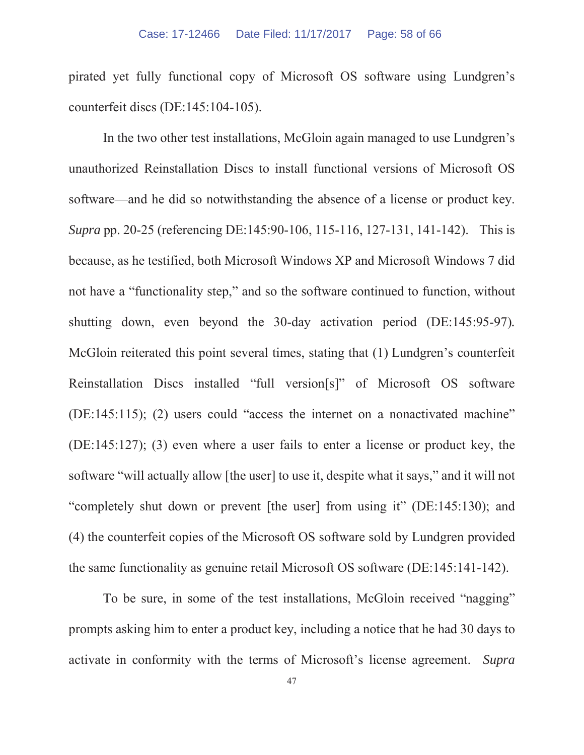pirated yet fully functional copy of Microsoft OS software using Lundgren's counterfeit discs (DE:145:104-105).

In the two other test installations, McGloin again managed to use Lundgren's unauthorized Reinstallation Discs to install functional versions of Microsoft OS software—and he did so notwithstanding the absence of a license or product key. *Supra* pp. 20-25 (referencing DE:145:90-106, 115-116, 127-131, 141-142). This is because, as he testified, both Microsoft Windows XP and Microsoft Windows 7 did not have a "functionality step," and so the software continued to function, without shutting down, even beyond the 30-day activation period (DE:145:95-97)*.* McGloin reiterated this point several times, stating that (1) Lundgren's counterfeit Reinstallation Discs installed "full version[s]" of Microsoft OS software (DE:145:115); (2) users could "access the internet on a nonactivated machine" (DE:145:127); (3) even where a user fails to enter a license or product key, the software "will actually allow [the user] to use it, despite what it says," and it will not "completely shut down or prevent [the user] from using it" (DE:145:130); and (4) the counterfeit copies of the Microsoft OS software sold by Lundgren provided the same functionality as genuine retail Microsoft OS software (DE:145:141-142).

To be sure, in some of the test installations, McGloin received "nagging" prompts asking him to enter a product key, including a notice that he had 30 days to activate in conformity with the terms of Microsoft's license agreement. *Supra*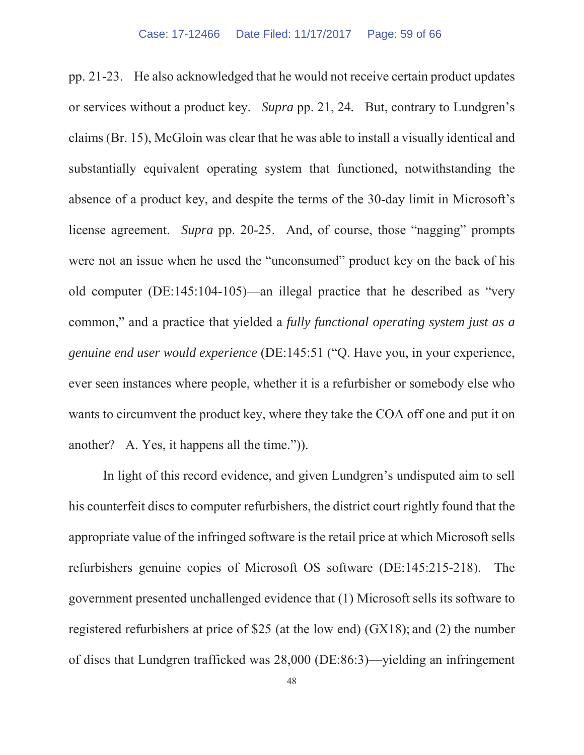pp. 21-23. He also acknowledged that he would not receive certain product updates or services without a product key. *Supra* pp. 21, 24*.* But, contrary to Lundgren's claims (Br. 15), McGloin was clear that he was able to install a visually identical and substantially equivalent operating system that functioned, notwithstanding the absence of a product key, and despite the terms of the 30-day limit in Microsoft's license agreement. *Supra* pp. 20-25. And, of course, those "nagging" prompts were not an issue when he used the "unconsumed" product key on the back of his old computer (DE:145:104-105)—an illegal practice that he described as "very common," and a practice that yielded a *fully functional operating system just as a genuine end user would experience* (DE:145:51 ("Q. Have you, in your experience, ever seen instances where people, whether it is a refurbisher or somebody else who wants to circumvent the product key, where they take the COA off one and put it on another? A. Yes, it happens all the time.")).

In light of this record evidence, and given Lundgren's undisputed aim to sell his counterfeit discs to computer refurbishers, the district court rightly found that the appropriate value of the infringed software is the retail price at which Microsoft sells refurbishers genuine copies of Microsoft OS software (DE:145:215-218). The government presented unchallenged evidence that (1) Microsoft sells its software to registered refurbishers at price of \$25 (at the low end) (GX18); and (2) the number of discs that Lundgren trafficked was 28,000 (DE:86:3)—yielding an infringement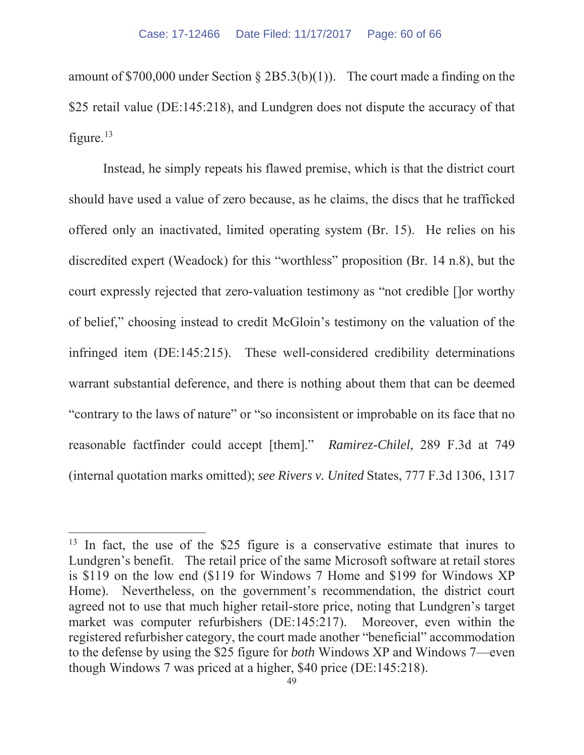amount of \$700,000 under Section  $\S 2B5.3(b)(1)$ . The court made a finding on the \$25 retail value (DE:145:218), and Lundgren does not dispute the accuracy of that figure. $13$ 

Instead, he simply repeats his flawed premise, which is that the district court should have used a value of zero because, as he claims, the discs that he trafficked offered only an inactivated, limited operating system (Br. 15). He relies on his discredited expert (Weadock) for this "worthless" proposition (Br. 14 n.8), but the court expressly rejected that zero-valuation testimony as "not credible []or worthy of belief," choosing instead to credit McGloin's testimony on the valuation of the infringed item (DE:145:215). These well-considered credibility determinations warrant substantial deference, and there is nothing about them that can be deemed "contrary to the laws of nature" or "so inconsistent or improbable on its face that no reasonable factfinder could accept [them]." *Ramirez-Chilel*, 289 F.3d at 749 (internal quotation marks omitted); *see Rivers v. United* States, 777 F.3d 1306, 1317

 $13$  In fact, the use of the \$25 figure is a conservative estimate that inures to Lundgren's benefit. The retail price of the same Microsoft software at retail stores is \$119 on the low end (\$119 for Windows 7 Home and \$199 for Windows XP Home). Nevertheless, on the government's recommendation, the district court agreed not to use that much higher retail-store price, noting that Lundgren's target market was computer refurbishers (DE:145:217). Moreover, even within the registered refurbisher category, the court made another "beneficial" accommodation to the defense by using the \$25 figure for *both* Windows XP and Windows 7—even though Windows 7 was priced at a higher, \$40 price (DE:145:218).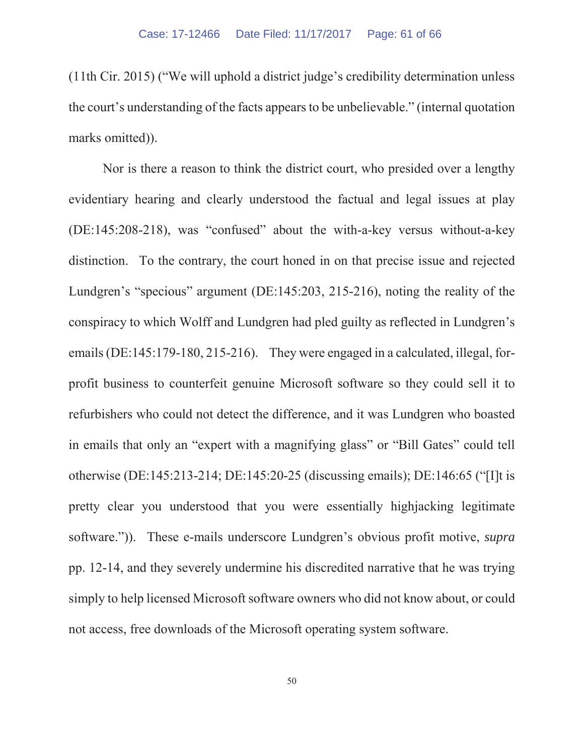(11th Cir. 2015) ("We will uphold a district judge's credibility determination unless the court's understanding of the facts appears to be unbelievable." (internal quotation marks omitted)).

Nor is there a reason to think the district court, who presided over a lengthy evidentiary hearing and clearly understood the factual and legal issues at play (DE:145:208-218), was "confused" about the with-a-key versus without-a-key distinction. To the contrary, the court honed in on that precise issue and rejected Lundgren's "specious" argument (DE:145:203, 215-216), noting the reality of the conspiracy to which Wolff and Lundgren had pled guilty as reflected in Lundgren's emails (DE:145:179-180, 215-216). They were engaged in a calculated, illegal, forprofit business to counterfeit genuine Microsoft software so they could sell it to refurbishers who could not detect the difference, and it was Lundgren who boasted in emails that only an "expert with a magnifying glass" or "Bill Gates" could tell otherwise (DE:145:213-214; DE:145:20-25 (discussing emails); DE:146:65 ("[I]t is pretty clear you understood that you were essentially highjacking legitimate software.")). These e-mails underscore Lundgren's obvious profit motive, *supra*  pp. 12-14, and they severely undermine his discredited narrative that he was trying simply to help licensed Microsoft software owners who did not know about, or could not access, free downloads of the Microsoft operating system software.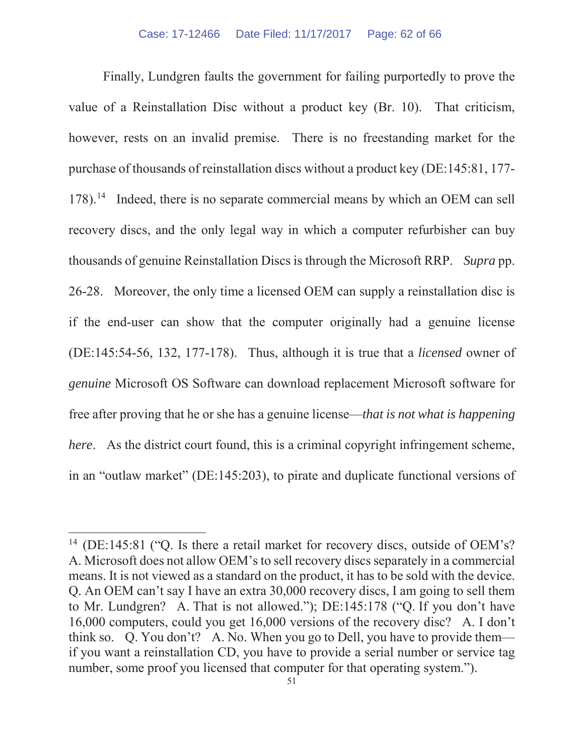Finally, Lundgren faults the government for failing purportedly to prove the value of a Reinstallation Disc without a product key (Br. 10). That criticism, however, rests on an invalid premise. There is no freestanding market for the purchase of thousands of reinstallation discs without a product key (DE:145:81, 177- 178).14 Indeed, there is no separate commercial means by which an OEM can sell recovery discs, and the only legal way in which a computer refurbisher can buy thousands of genuine Reinstallation Discs is through the Microsoft RRP. *Supra* pp. 26-28. Moreover, the only time a licensed OEM can supply a reinstallation disc is if the end-user can show that the computer originally had a genuine license (DE:145:54-56, 132, 177-178). Thus, although it is true that a *licensed* owner of *genuine* Microsoft OS Software can download replacement Microsoft software for free after proving that he or she has a genuine license—*that is not what is happening here.* As the district court found, this is a criminal copyright infringement scheme, in an "outlaw market" (DE:145:203), to pirate and duplicate functional versions of

<sup>&</sup>lt;sup>14</sup> (DE:145:81 ("Q. Is there a retail market for recovery discs, outside of OEM's? A. Microsoft does not allow OEM's to sell recovery discs separately in a commercial means. It is not viewed as a standard on the product, it has to be sold with the device. Q. An OEM can't say I have an extra 30,000 recovery discs, I am going to sell them to Mr. Lundgren? A. That is not allowed."); DE:145:178 ("Q. If you don't have 16,000 computers, could you get 16,000 versions of the recovery disc? A. I don't think so. Q. You don't? A. No. When you go to Dell, you have to provide them if you want a reinstallation CD, you have to provide a serial number or service tag number, some proof you licensed that computer for that operating system.").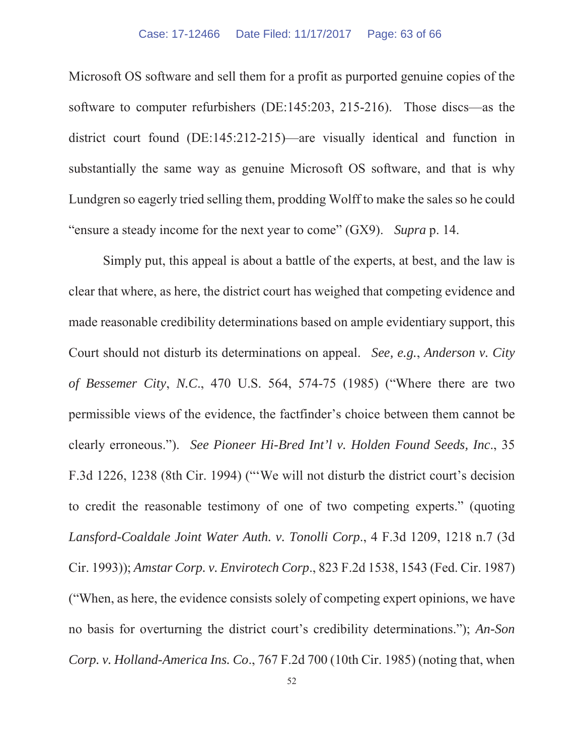Microsoft OS software and sell them for a profit as purported genuine copies of the software to computer refurbishers (DE:145:203, 215-216). Those discs—as the district court found (DE:145:212-215)—are visually identical and function in substantially the same way as genuine Microsoft OS software, and that is why Lundgren so eagerly tried selling them, prodding Wolff to make the sales so he could "ensure a steady income for the next year to come" (GX9). *Supra* p. 14.

Simply put, this appeal is about a battle of the experts, at best, and the law is clear that where, as here, the district court has weighed that competing evidence and made reasonable credibility determinations based on ample evidentiary support, this Court should not disturb its determinations on appeal. *See, e.g.*, *Anderson v. City of Bessemer City*, *N.C*., 470 U.S. 564, 574-75 (1985) ("Where there are two permissible views of the evidence, the factfinder's choice between them cannot be clearly erroneous."). *See Pioneer Hi-Bred Int'l v. Holden Found Seeds, Inc*., 35 F.3d 1226, 1238 (8th Cir. 1994) ("'We will not disturb the district court's decision to credit the reasonable testimony of one of two competing experts." (quoting *Lansford-Coaldale Joint Water Auth. v. Tonolli Corp*., 4 F.3d 1209, 1218 n.7 (3d Cir. 1993)); *Amstar Corp. v. Envirotech Corp*., 823 F.2d 1538, 1543 (Fed. Cir. 1987) ("When, as here, the evidence consists solely of competing expert opinions, we have no basis for overturning the district court's credibility determinations."); *An-Son Corp. v. Holland-America Ins. Co*., 767 F.2d 700 (10th Cir. 1985) (noting that, when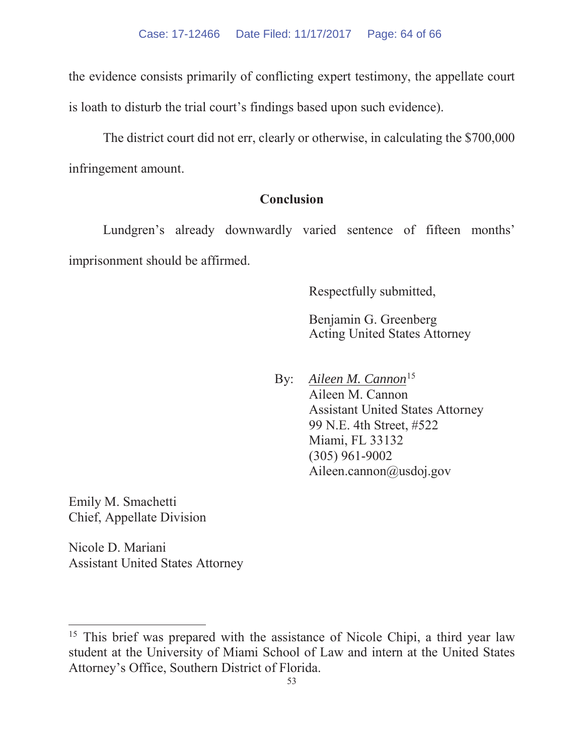the evidence consists primarily of conflicting expert testimony, the appellate court is loath to disturb the trial court's findings based upon such evidence).

The district court did not err, clearly or otherwise, in calculating the \$700,000 infringement amount.

## **Conclusion**

Lundgren's already downwardly varied sentence of fifteen months' imprisonment should be affirmed.

Respectfully submitted,

Benjamin G. Greenberg Acting United States Attorney

By: *Aileen M. Cannon*<sup>15</sup> Aileen M. Cannon Assistant United States Attorney 99 N.E. 4th Street, #522 Miami, FL 33132 (305) 961-9002 Aileen.cannon@usdoj.gov

Emily M. Smachetti Chief, Appellate Division

Nicole D. Mariani Assistant United States Attorney

<sup>&</sup>lt;sup>15</sup> This brief was prepared with the assistance of Nicole Chipi, a third year law student at the University of Miami School of Law and intern at the United States Attorney's Office, Southern District of Florida.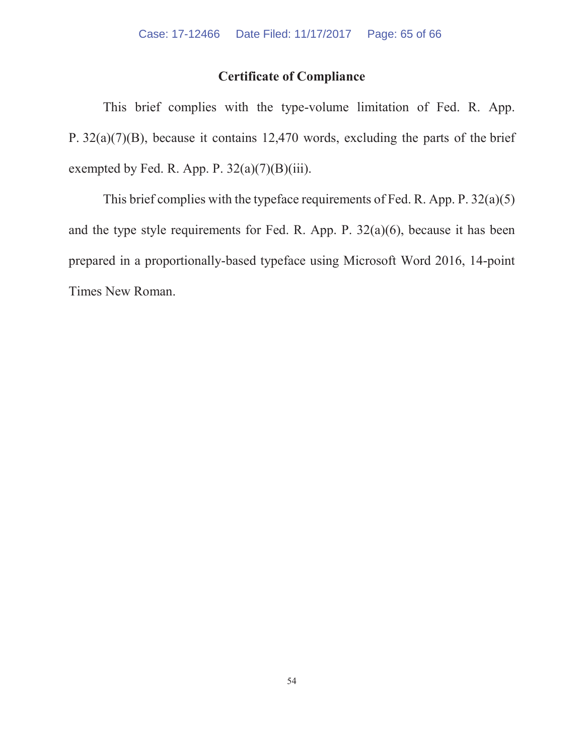## **Certificate of Compliance**

This brief complies with the type-volume limitation of Fed. R. App. P. 32(a)(7)(B), because it contains 12,470 words, excluding the parts of the brief exempted by Fed. R. App. P.  $32(a)(7)(B)(iii)$ .

This brief complies with the typeface requirements of Fed. R. App. P. 32(a)(5) and the type style requirements for Fed. R. App. P. 32(a)(6), because it has been prepared in a proportionally-based typeface using Microsoft Word 2016, 14-point Times New Roman.